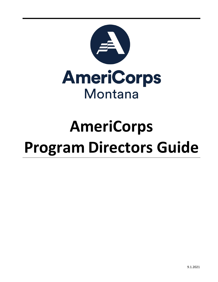

# **AmeriCorps Program Directors Guide**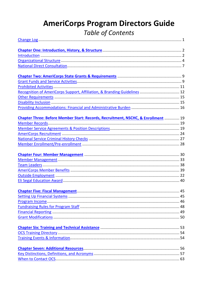# **AmeriCorps Program Directors Guide Table of Contents**

| Recognition of AmeriCorps Support, Affiliation, & Branding Guidelines  12         |  |
|-----------------------------------------------------------------------------------|--|
|                                                                                   |  |
|                                                                                   |  |
|                                                                                   |  |
| Chapter Three: Before Member Start: Records, Recruitment, NSCHC, & Enrollment  19 |  |
|                                                                                   |  |
|                                                                                   |  |
|                                                                                   |  |
|                                                                                   |  |
|                                                                                   |  |
|                                                                                   |  |
|                                                                                   |  |
|                                                                                   |  |
|                                                                                   |  |
|                                                                                   |  |
|                                                                                   |  |
|                                                                                   |  |
|                                                                                   |  |
|                                                                                   |  |
|                                                                                   |  |
|                                                                                   |  |
|                                                                                   |  |
|                                                                                   |  |
|                                                                                   |  |
|                                                                                   |  |
|                                                                                   |  |
|                                                                                   |  |
|                                                                                   |  |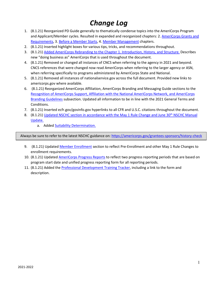### *Change Log*

- <span id="page-2-0"></span>1. (8.1.21) Reorganized PD Guide generally to thematically condense topics into the AmeriCorps Program and Applicant/Member cycles. Resulted in expanded and reorganized chapters: 2. [AmeriCorps](#page-10-0) Grants and [Requirements,](#page-10-0) 3. [Before a Member Starts,](#page-20-0) 4[. Member Management](#page-31-0) chapters.
- 2. (8.1.21) Inserted highlight boxes for various tips, tricks, and recommendations throughout.
- 3. (8.1.21[\) Added AmeriCorps Rebranding to the Chapter 1. Introduction, History, and Structure.](#page-5-1) Describes new "doing business as" AmeriCorps that is used throughout the document.
- 4. (8.1.21) Removed or changed all instances of CNCS when referring to the agency in 2021 and beyond. CNCS references that were changed now read AmeriCorps when referring to the larger agency or ASN, when referring specifically to programs administered by AmeriCorps State and National.
- 5. (8.1.21) Removed all instances of nationalservice.gov across the full document. Provided new links to americorps.gov where available.
- 6. (8.1.21) Reorganized AmeriCorps Affiliation, AmeriCorps Branding and Messaging Guide sections to the Recognition [of AmeriCorps Support, Affiliation with the National AmeriCorps Network, and AmeriCorps](#page-13-0)  [Branding Guidelines](#page-13-0) subsection. Updated all information to be in line with the 2021 General Terms and Conditions.
- 7. (8.1.21) Inserted ecfr.gov/govinfo.gov hyperlinks to all CFR and U.S.C. citations throughout the document.
- 8. (8.1.21) Updated NSCHC section in accordance with the May 1 Rule Change and June 30<sup>th</sup> NSCHC Manual [Update.](#page-27-0)
	- a. Added [Suitability Determination.](#page-29-1)

Always be sure to refer to the latest NSCHC guidance on:<https://americorps.gov/grantees-sponsors/history-check>

- 9. (8.1.21) Updated [Member Enrollment](#page-29-0) section to reflect Pre-Enrollment and other May 1 Rule Changes to enrollment requirements.
- 10. (8.1.21) Update[d AmeriCorps Progress Reports](#page-18-0) to reflect two progress reporting periods that are based on program start date and unified progress reporting form for all reporting periods.
- 11. (8.1.21) Added th[e Professional Development Training Tracker,](#page-55-2) including a link to the form and description.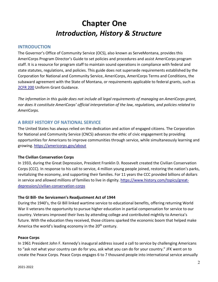## **Chapter One** *Introduction, History & Structure*

#### <span id="page-3-1"></span><span id="page-3-0"></span>**INTRODUCTION**

The Governor's Office of Community Service (OCS), also known as ServeMontana, provides this AmeriCorps Program Director's Guide to set policies and procedures and assist AmeriCorps program staff. It is a resource for program staff to maintain sound operations in compliance with federal and state statutes, regulations, and policies. This guide does not supersede requirements established by the Corporation for National and Community Service, AmeriCorps, AmeriCorps Terms and Conditions, the subaward agreement with the State of Montana, or requirements applicable to federal grants, such as [2CFR](https://www.ecfr.gov/cgi-bin/text-idx?tpl=/ecfrbrowse/Title02/2cfr200_main_02.tpl) 200 Uniform Grant Guidance.

*The information in this guide does not include all legal requirements of managing an AmeriCorps grant, nor does it constitute AmeriCorps' official interpretation of the law, regulations, and policies related to AmeriCorps.* 

#### **A BRIEF HISTORY OF NATIONAL SERVICE**

The United States has always relied on the dedication and action of engaged citizens. The Corporation for National and Community Service (CNCS) advances the ethic of civic engagement by providing opportunities for Americans to improve communities through service, while simultaneously learning and growing[. https://americorps.gov/about](https://americorps.gov/about)

#### **The Civilian Conservation Corps**

In 1933, during the Great Depression, President Franklin D. Roosevelt created the Civilian Conservation Corps (CCC). In response to his call to service, 4 million young people joined, restoring the nation's parks, revitalizing the economy, and supporting their families. For 11 years the CCC provided billions of dollars in service and allowed millions of families to live in dignity. [https://www.history.com/topics/great](https://www.history.com/topics/great-depression/civilian-conservation-corps)[depression/civilian-conservation-corps](https://www.history.com/topics/great-depression/civilian-conservation-corps)

#### **The GI Bill- the Servicemen's Readjustment Act of 1944**

During the 1940's, the GI Bill linked wartime service to educational benefits, offering returning World War II veterans the opportunity to pursue higher education in partial compensation for service to our country. Veterans improved their lives by attending college and contributed mightily to America's future. With the education they received, those citizens sparked the economic boom that helped make America the world's leading economy in the 20<sup>th</sup> century.

#### **Peace Corps**

In 1961 President John F. Kennedy's inaugural address issued a call to service by challenging Americans to "ask not what your country can do for you, ask what you can do for your country." JFK went on to create the Peace Corps. Peace Corps engages 6 to 7 thousand people into international service annually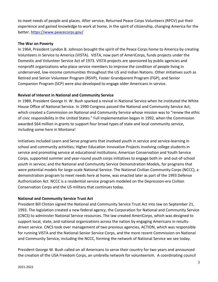to meet needs of people and places. After service, Returned Peace Corps Volunteers (RPCV) put their experience and gained knowledge to work at home, in the spirit of citizenship, changing America for the better. <https://www.peacecorps.gov/>

#### **The War on Poverty**

In 1964, President Lyndon B. Johnson brought the spirit of the Peace Corps home to America by creating Volunteers in Service to America (VISTA). VISTA, now part of AmeriCorps, funds projects under the Domestic and Volunteer Service Act of 1973. VISTA projects are sponsored by public agencies and nonprofit organizations who place service members to improve the condition of people living in underserved, low-income communities throughout the US and Indian Nations. Other initiatives such as Retired and Senior Volunteer Program (RSVP), Foster Grandparent Program (FGP), and Senior Companion Program (SCP) were also developed to engage older Americans in service.

#### **Revival of Interest in National and Community Service**

In 1989, President George H. W. Bush sparked a revival in National Service when he instituted the White House Office of National Service. In 1990 Congress passed the National and Community Service Act, which created a Commission on National and Community Service whose mission was to "renew the ethic of civic responsibility in the United States." Full implementation began in 1992, when the Commission awarded \$64 million in grants to support four broad types of state and local community service, including some here in Montana!

Initiatives included Learn and Serve programs that involved youth in service and service-learning in school and community activities; Higher Education Innovative Projects involving college students in service and promoting service at educational institutions; American Conservation and Youth Service Corps, supported summer and year-round youth corps initiatives to engage both in- and out-of-school youth in service; and the National and Community Service Demonstration Models, for programs that were potential models for large-scale National Service. The National Civilian Community Corps (NCCC), a demonstration program to meet needs here at home, was enacted later as part of the 1993 Defense Authorization Act. NCCC is a residential service program modeled on the Depression-era Civilian Conservation Corps and the US military that continues today.

#### **National and Community Service Trust Act**

President Bill Clinton signed the National and Community Service Trust Act into law on September 21, 1993. The legislation created a new federal agency, the Corporation for National and Community Service (CNCS) to administer National Service resources. The law created AmeriCorps, which was designed to support local, state, and national organizations across the nation by engaging Americans in resultsdriven service. CNCS took over management of two previous agencies, ACTION, which was responsible for running VISTA and the National Senior Service Corps, and the more recent Commission on National and Community Service, including the NCCC, forming the network of National Service we see today.

President George W. Bush called on all Americans to serve their country for two years and announced the creation of the USA Freedom Corps, an umbrella network for volunteerism. A coordinating council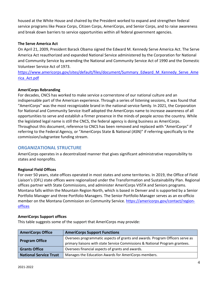housed at the White House and chaired by the President worked to expand and strengthen federal service programs like Peace Corps, Citizen Corps, AmeriCorps, and Senior Corps, and to raise awareness and break down barriers to service opportunities within all federal government agencies.

#### **The Serve America Act**

On April 21, 2009, President Barack Obama signed the Edward M. Kennedy Serve America Act. The Serve America Act reauthorized and expanded National Service administered by the Corporation for National and Community Service by amending the National and Community Service Act of 1990 and the Domestic Volunteer Service Act of 1973.

[https://www.americorps.gov/sites/default/files/document/Summary\\_Edward\\_M\\_Kennedy\\_Serve\\_Ame](https://www.americorps.gov/sites/default/files/document/Summary_Edward_M_Kennedy_Serve_America_Act.pdf) [rica\\_Act.pdf](https://www.americorps.gov/sites/default/files/document/Summary_Edward_M_Kennedy_Serve_America_Act.pdf)

#### <span id="page-5-1"></span>**AmeriCorps Rebranding**

For decades, CNCS has worked to make service a cornerstone of our national culture and an indispensable part of the American experience. Through a series of listening sessions, it was found that "AmeriCorps" was the most recognizable brand in the national service family. In 2021, the Corporation for National and Community Service itself adopted the AmeriCorps name to increase awareness of all opportunities to serve and establish a firmer presence in the minds of people across the country. While the legislated legal name is still the CNCS, the federal agency is doing business as AmeriCorps. Throughout this document, reference to CNCS has been removed and replaced with "AmeriCorps" if referring to the Federal Agency, or "AmeriCorps State & National (ASN)" if referring specifically to the commission/subgrantee funding stream.

#### <span id="page-5-0"></span>**ORGANIZATIONAL STRUCTURE**

AmeriCorps operates in a decentralized manner that gives significant administrative responsibility to states and nonprofits.

#### **Regional Field Offices**

For over 50 years, state offices operated in most states and some territories. In 2019, the Office of Field Liaison's (OFL) state offices were regionalized under the Transformation and Sustainability Plan. Regional offices partner with State Commissions, and administer AmeriCorps VISTA and Seniors programs. Montana falls within the Mountain Region North, which is based in Denver and is supported by a Senior Portfolio Manager and three Portfolio Managers. The Senior Portfolio Manager serves as an ex-officio member on the Montana Commission on Community Service. [https://americorps.gov/contact/region](https://americorps.gov/contact/region-offices)[offices](https://americorps.gov/contact/region-offices)

#### **AmeriCorps Support offices**

This table suggests some of the support that AmeriCorps may provide:

| <b>AmeriCorps Office</b> | <b>AmeriCorps Support Functions</b>                                                                                                                           |
|--------------------------|---------------------------------------------------------------------------------------------------------------------------------------------------------------|
| <b>Program Office</b>    | Oversees programmatic aspects of grants and awards. Program Officers serve as<br>primary liaisons with state Service Commissions & National Program grantees. |
| <b>Grants Office</b>     | Oversees financial aspects of grants and awards.                                                                                                              |
| National Service Trust   | Manages the Education Awards for AmeriCorps members.                                                                                                          |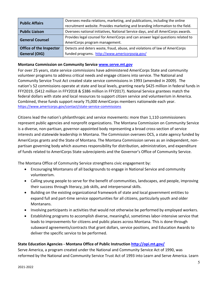| <b>Public Affairs</b>          | Oversees media relations, marketing, and publications, including the online      |  |
|--------------------------------|----------------------------------------------------------------------------------|--|
|                                | recruitment website. Provides marketing and branding information to the field.   |  |
| <b>Public Liaison</b>          | Oversees national initiatives, National Service days, and all AmeriCorps awards. |  |
| <b>General Counsel</b>         | Provides legal counsel for AmeriCorps and can answer legal questions related to  |  |
|                                | AmeriCorps program management.                                                   |  |
| <b>Office of the Inspector</b> | Detects and deters waste, fraud, abuse, and violations of law of AmeriCorps      |  |
| <b>General (OIG)</b>           | funded programs. http://www.americorpsoig.gov/                                   |  |

#### **Montana Commission on Community Service [www.serve.mt.gov](http://www.serve.mt.gov/)**

For over 25 years, state service commissions have administered AmeriCorps State and community volunteer programs to address critical needs and engage citizens into service. The National and Community Service Trust Act created state service commissions in 1993 (amended in 2009). The nation's 52 commissions operate at state and local levels, granting nearly \$425 million in federal funds in FFY2019, (\$412 million in FFY2018 & \$386 million in FFY2017). National Service grantees match the federal dollars with state and local resources to support citizen service and volunteerism in America. Combined, these funds support nearly 75,000 AmeriCorps members nationwide each year. <https://www.americorps.gov/contact/state-service-commissions>

Citizens lead the nation's philanthropic and service movements: more than 1,110 commissioners represent public agencies and nonprofit organizations. The Montana Commission on Community Service is a diverse, non-partisan, governor-appointed body representing a broad cross-section of service interests and statewide leadership in Montana. The Commission oversees OCS, a state agency funded by AmeriCorps grants and the State of Montana. The Montana Commission serves as an independent, nonpartisan governing body which assumes responsibility for distribution, administration, and expenditure of funds related to AmeriCorps State subrecipients and the Governor's Office of Community Service.

The Montana Office of Community Service strengthens civic engagement by:

- Encouraging Montanans of all backgrounds to engage in National Service and community volunteerism.
- Calling young people to serve for the benefit of communities, landscapes, and people, improving their success through literacy, job skills, and interpersonal skills.
- Building on the existing organizational framework of state and local government entities to expand full and part-time service opportunities for all citizens, particularly youth and older Montanans.
- Involving participants in activities that would not otherwise be performed by employed workers.
- Establishing programs to accomplish diverse, meaningful, sometimes labor-intensive service that leads to improvements for citizens and public places across Montana. This is done through subaward agreements/contracts that grant dollars, service positions, and Education Awards to deliver the specific service to be performed.

#### **State Education Agencies - Montana Office of Public Instruction<http://opi.mt.gov/>**

Serve America, a program created under the National and Community Service Act of 1990, was reformed by the National and Community Service Trust Act of 1993 into Learn and Serve America. Learn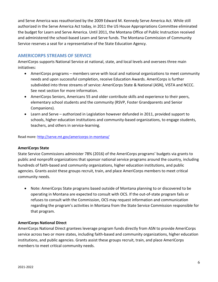and Serve America was reauthorized by the 2009 Edward M. Kennedy Serve America Act. While still authorized in the Serve America Act today, in 2011 the US House Appropriations Committee eliminated the budget for Learn and Serve America. Until 2011, the Montana Office of Public Instruction received and administered the school-based Learn and Serve funds. The Montana Commission of Community Service reserves a seat for a representative of the State Education Agency.

#### **AMERICORPS STREAMS OF SERVICE**

AmeriCorps supports National Service at national, state, and local levels and oversees three main initiatives:

- AmeriCorps programs members serve with local and national organizations to meet community needs and upon successful completion, receive Education Awards. AmeriCorps is further subdivided into three streams of service: AmeriCorps State & National (ASN), VISTA and NCCC. See next section for more information.
- AmeriCorps Seniors, Americans 55 and older contribute skills and experience to their peers, elementary school students and the community (RSVP, Foster Grandparents and Senior Companions).
- Learn and Serve authorized in Legislation however defunded in 2011, provided support to schools, higher education institutions and community-based organizations, to engage students, teachers, and others in service-learning.

Read more[: http://serve.mt.gov/americorps-in-montana/](http://serve.mt.gov/americorps-in-montana/)

#### **AmeriCorps State**

State Service Commissions administer 78% (2016) of the AmeriCorps programs' budgets via grants to public and nonprofit organizations that sponsor national service programs around the country, including hundreds of faith-based and community organizations, higher education institutions, and public agencies. Grants assist these groups recruit, train, and place AmeriCorps members to meet critical community needs.

• Note: AmeriCorps State programs based outside of Montana planning to or discovered to be operating in Montana are expected to consult with OCS. If the out-of-state program fails or refuses to consult with the Commission, OCS may request information and communication regarding the program's activities in Montana from the State Service Commission responsible for that program.

#### **AmeriCorps National Direct**

AmeriCorps National Direct grantees leverage program funds directly from ASN to provide AmeriCorps service across two or more states, including faith-based and community organizations, higher education institutions, and public agencies. Grants assist these groups recruit, train, and place AmeriCorps members to meet critical community needs.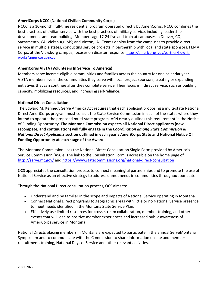#### **AmeriCorps NCCC (National Civilian Community Corps)**

NCCC is a 10-month, full-time residential program operated directly by AmeriCorps. NCCC combines the best practices of civilian service with the best practices of military service, including leadership development and teambuilding. Members age 17-24 live and train at campuses in Denver, CO; Sacramento, CA; Vicksburg, MS; and Vinton, IA. Teams deploy from the campuses to provide direct service in multiple states, conducting service projects in partnership with local and state sponsors. FEMA Corps, at the Vicksburg campus, focuses on disaster response. [https://americorps.gov/partner/how-it](https://americorps.gov/partner/how-it-works/americorps-nccc)[works/americorps-nccc](https://americorps.gov/partner/how-it-works/americorps-nccc) 

#### **AmeriCorps VISTA (Volunteers In Service To America)**

Members serve income-eligible communities and families across the country for one calendar year. VISTA members live in the communities they serve with local project sponsors, creating or expanding initiatives that can continue after they complete service. Their focus is indirect service, such as building capacity, mobilizing resources, and increasing self-reliance.

#### <span id="page-8-0"></span>**National Direct Consultation**

The Edward M. Kennedy Serve America Act requires that each applicant proposing a multi-state National Direct AmeriCorps program must consult the State Service Commission in each of the states where they intend to operate the proposed multi-state program. ASN clearly outlines this requirement in the Notice of Funding Opportunity. **The Montana Commission expects all National Direct applicants (new, recompete, and continuation) will fully engage in the** *Coordination among State Commission & National Direct Applicants* **section outlined in each year's AmeriCorps State and National Notice Of Funding Opportunity at each stage of the Award.**

The Montana Commission uses the National Direct Consultation Single Form provided by America's Service Commission (ASC)s. The link to the Consultation Form is accessible on the home page of <http://serve.mt.gov/> and<https://www.statecommissions.org/national-direct-consultation>

OCS appreciates the consultation process to connect meaningful partnerships and to promote the use of National Service as an effective strategy to address unmet needs in communities throughout our state.

Through the National Direct consultation process, OCS aims to:

- Understand and be familiar in the scope and impacts of National Service operating in Montana.
- Connect National Direct programs to geographic areas with little or no National Service presence to meet needs identified in the Montana State Service Plan.
- Effectively use limited resources for cross-stream collaboration, member training, and other events that will lead to positive member experiences and increased public awareness of AmeriCorps service in Montana.

National Directs placing members in Montana are expected to participate in the annual ServeMontana Symposium and to communicate with the Commission to share information on site and member recruitment, training, National Days of Service and other relevant activities.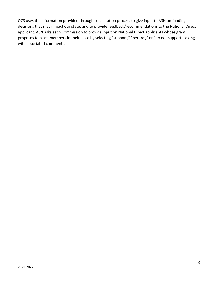OCS uses the information provided through consultation process to give input to ASN on funding decisions that may impact our state, and to provide feedback/recommendations to the National Direct applicant. ASN asks each Commission to provide input on National Direct applicants whose grant proposes to place members in their state by selecting "support," "neutral," or "do not support," along with associated comments.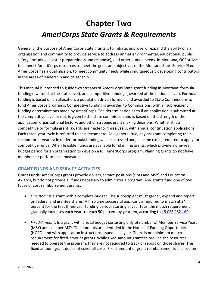# <span id="page-10-0"></span>**Chapter Two** *AmeriCorps State Grants & Requirements*

Generally, the purpose of AmeriCorps State grants is to initiate, improve, or expand the ability of an organization and community to provide service to address unmet environmental, educational, public safety (including disaster preparedness and response), and other human needs. In Montana, OCS strives to connect AmeriCorps resources to meet the goals and objectives of the Montana State Service Plan. AmeriCorps has a dual mission, to meet community needs while simultaneously developing contributors in the areas of leadership and citizenship.

This manual is intended to guide two streams of AmeriCorps State grant funding in Montana: formula funding (awarded at the state level), and competitive funding, (awarded at the national level). Formula funding is based on an allocation, a population driven formula and awarded to State Commissions to fund AmeriCorps programs. Competitive funding is awarded to Commissions, with all subrecipient funding determinations made by AmeriCorps. The determination as to if an application is submitted at the competitive level or not, is given to the state commission and is based on the strength of the application, organizational history, and other strategic grant making decisions. Whether it is a competitive or formula grant, awards are made for three years, with annual continuation applications. Each three-year cycle is referred to as a recompete. As a general rule, any program completing their second three-year cycle under formula funding will be assessed and, in some cases, required to apply for competitive funds. When feasible, funds are available for planning grants, which provide a one-year budget period for an organization to develop a full AmeriCorps program. Planning grants do not have members or performance measures.

#### <span id="page-10-1"></span>**GRANT FUNDS AND SERVICE ACTIVITIES**

**Grant Funds:** AmeriCorps grants provide dollars, service positions (slots and MSY) and Education Awards, but do not provide all funds necessary to administer a program. ASN grants fund one of two types of cost reimbursement grants:

- *Line Item:* Is a grant with a complete budget. The subrecipient must garner, expend and report on federal and grantee shares. A first-time successful applicant is required to match at 24 percent for the first three-year funding period. Starting in year four, the match requirement gradually increases each year to reach 50 percent by year ten, according to [45 CFR 2521.60.](https://www.ecfr.gov/cgi-bin/text-idx?c=ecfr&sid=8dbe66bef1823e0c40bf15a79be6bde3&rgn=div5&view=text&node=45:4.1.9.11.14&idno=45#se45.5.2521_160)
- *Fixed-Amount:* Is a grant with a total budget consisting only of number of Member Service Years (MSY) and cost per MSY. The amounts are identified in the Notice of Funding Opportunity (NOFO) and with application instructions issued each year. There is no minimum match requirement for fixed-amount grants. While fixed-amount grantees provide the resources needed to operate the program, they are not required to track or report on those shares. The fixed amount grant does not cover all costs. Fixed amount of grant reimbursements is based on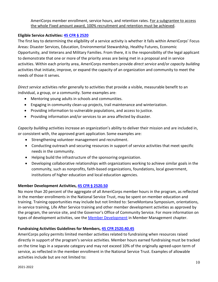#### AmeriCorps member enrollment, service hours, and retention rates. For a subgrantee to access the whole Fixed amount award, 100% recruitment and retention must be achieved.

#### **Eligible Service [Activities:](https://www.ecfr.gov/cgi-bin/text-idx?SID=b0aa14b22aaa3e790880ab18b283fe9a&mc=true&tpl=/ecfrbrowse/Title45/45cfr2520_main_02.tpl) 45 CFR § 2520**

The first key to determining the eligibility of a service activity is whether it falls within AmeriCorps' Focus Areas: Disaster Services, Education, Environmental Stewardship, Healthy Futures, Economic Opportunity, and Veterans and Military Families. From there, it is the responsibility of the legal applicant to demonstrate that one or more of the priority areas are being met in a proposal and in service activities. Within each priority area, AmeriCorps members provide *direct service* and/or *capacity building* activities that initiate, improve, or expand the capacity of an organization and community to meet the needs of those it serves.

*Direct service* activities refer generally to activities that provide a visible, measurable benefit to an individual, a group, or a community. Some examples are:

- Mentoring young adults in schools and communities.
- Engaging in community clean-up projects, trail maintenance and winterization.
- Providing information to vulnerable populations, and access to justice.
- Providing information and/or services to an area affected by disaster.

*Capacity building* activities increase an organization's ability to deliver their mission and are included in, or consistent with, the approved grant application. Some examples are:

- Strengthening volunteer management and recruitment.
- Conducting outreach and securing resources in support of service activities that meet specific needs in the community.
- Helping build the infrastructure of the sponsoring organization.
- Developing collaborative relationships with organizations working to achieve similar goals in the community, such as nonprofits, faith-based organizations, foundations, local government, institutions of higher education and local education agencies.

#### **[Member Development](https://www.ecfr.gov/cgi-bin/text-idx?SID=b0aa14b22aaa3e790880ab18b283fe9a&mc=true&node=se45.5.2520_150&rgn=div8) Activities, 45 CFR § 2520.50**

No more than 20 percent of the aggregate of all AmeriCorps member hours in the program, as reflected in the member enrollments in the National Service Trust, may be spent on member education and training. Training opportunities may include but not limited to: ServeMontana Symposium, orientations, in-service training, Life After Service training and other member development activities as approved by the program, the service site, and the Governor's Office of Community Service. For more information on types of development activities, see the [Member Development](#page-31-1) in Member Management chapter.

#### **Fundraising Activities Guidelines for Members, [45 CFR 2520.40.45](https://www.ecfr.gov/cgi-bin/text-idx?c=ecfr&SID=4193d25175e06a4c35ecfadf2e6252a0&rgn=div5&view=text&node=45:4.1.9.11.13&idno=45#se45.5.2520_140)**

AmeriCorps policy permits limited member activities related to fundraising when resources raised directly in support of the program's service activities. Member hours earned fundraising must be tracked on the time logs in a separate category and may not exceed 10% of the originally agreed-upon term of service, as reflected in the member enrollment in the National Service Trust. Examples of allowable activities include but are not limited to: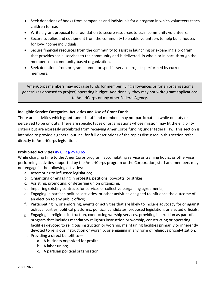- Seek donations of books from companies and individuals for a program in which volunteers teach children to read.
- Write a grant proposal to a foundation to secure resources to train community volunteers.
- Secure supplies and equipment from the community to enable volunteers to help build houses for low-income individuals.
- Secure financial resources from the community to assist in launching or expanding a program that provides social services to the community and is delivered, in whole or in part, through the members of a community-based organization.
- Seek donations from program alumni for specific service projects performed by current members.

AmeriCorps members may not raise funds for member living allowances or for an organization's general (as opposed to project) operating budget. Additionally, they may not write grant applications to AmeriCorps or any other Federal Agency.

#### **Ineligible Service Categories, Activities and Use of Grant Funds**

There are activities which grant funded staff and members may not participate in while on duty or perceived to be on duty. There are specific types of organizations whose mission may fit the eligibility criteria but are expressly prohibited from receiving AmeriCorps funding under federal law. This section is intended to provide a general outline, for full descriptions of the topics discussed in this section refer directly to AmeriCorps legislation.

#### <span id="page-12-0"></span>**Prohibited Activities [45 CFR § 2520.65](https://www.ecfr.gov/cgi-bin/retrieveECFR?gp=&SID=8d39dfd206f17d00178ffa4c35843b97&mc=true&n=pt45.5.2520&r=PART&ty=HTML#se45.5.2520_165)**

While charging time to the AmeriCorps program, accumulating service or training hours, or otherwise performing activities supported by the AmeriCorps program or the Corporation, staff and members may not engage in the following activities:

- a. Attempting to influence legislation;
- b. Organizing or engaging in protests, petitions, boycotts, or strikes;
- c. Assisting, promoting, or deterring union organizing;
- d. Impairing existing contracts for services or collective bargaining agreements;
- e. Engaging in partisan political activities, or other activities designed to influence the outcome of an election to any public office;
- f. Participating in, or endorsing, events or activities that are likely to include advocacy for or against political parties, political platforms, political candidates, proposed legislation, or elected officials;
- g. Engaging in religious instruction, conducting worship services, providing instruction as part of a program that includes mandatory religious instruction or worship, constructing or operating facilities devoted to religious instruction or worship, maintaining facilities primarily or inherently devoted to religious instruction or worship, or engaging in any form of religious proselytization;
- h. Providing a direct benefit to
	- a. A business organized for profit;
	- b. A labor union;
	- c. A partisan political organization;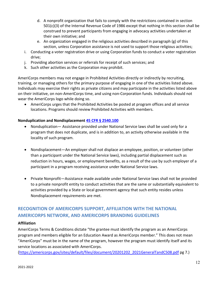- d. A nonprofit organization that fails to comply with the restrictions contained in section 501(c)(3) of the Internal Revenue Code of 1986 except that nothing in this section shall be construed to prevent participants from engaging in advocacy activities undertaken at their own initiative; and
- e. An organization engaged in the religious activities described in paragraph (g) of this section, unless Corporation assistance is not used to support those religious activities;
- i. Conducting a voter registration drive or using Corporation funds to conduct a voter registration drive;
- j. Providing abortion services or referrals for receipt of such services; and
- k. Such other activities as the Corporation may prohibit.

AmeriCorps members may not engage in Prohibited Activities directly or indirectly by recruiting, training, or managing others for the primary purpose of engaging in one of the activities listed above. Individuals may exercise their rights as private citizens and may participate in the activities listed above on their initiative, on non-AmeriCorps time, and using non-Corporation funds. Individuals should not wear the AmeriCorps logo while doing so.

• AmeriCorps urges that the Prohibited Activities be posted at program offices and all service locations. Programs should review Prohibited Activities with members.

#### **Nonduplication and Nondisplacement 45 CFR § [2540.100](https://ecfr.federalregister.gov/current/title-45/subtitle-B/chapter-XXV/part-2540/subpart-A/section-2540.100)**

- Nonduplication— Assistance provided under National Service laws shall be used only for a program that does not duplicate, and is in addition to, an activity otherwise available in the locality of such program.
- Nondisplacement—An employer shall not displace an employee, position, or volunteer (other than a participant under the National Service laws), including partial displacement such as reduction in hours, wages, or employment benefits, as a result of the use by such employer of a participant in a program receiving assistance under National Service laws.
- Private Nonprofit—Assistance made available under National Service laws shall not be provided to a private nonprofit entity to conduct activities that are the same or substantially equivalent to activities provided by a State or local government agency that such entity resides unless Nondisplacement requirements are met.

#### <span id="page-13-0"></span>**RECOGNITION OF AMERICORPS SUPPORT, AFFILIATION WITH THE NATIONAL AMERICORPS NETWORK, AND AMERICORPS BRANDING GUIDELINES**

#### **Affiliation**

AmeriCorps Terms & Conditions dictate "the grantee must identify the program as an AmeriCorps program and members eligible for an Education Award as AmeriCorps member." This does not mean "AmeriCorps" must be in the name of the program, however the program must identify itself and its service locations as associated with AmeriCorps.

[\(https://americorps.gov/sites/default/files/document/20201202\\_2021GeneralTandC508.pdf](https://americorps.gov/sites/default/files/document/20201202_2021GeneralTandC508.pdf) pg 7.)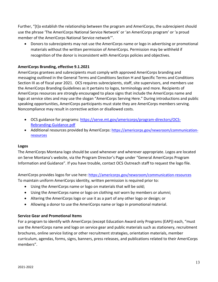Further, "[t]o establish the relationship between the program and AmeriCorps, the subrecipient should use the phrase 'The AmeriCorps National Service Network' or 'an AmeriCorps program' or 'a proud member of the AmeriCorps National Service network'".

• Donors to subrecipients may not use the AmeriCorps name or logo in advertising or promotional materials without the written permission of AmeriCorps. Permission may be withheld if recognition of the donor is inconsistent with AmeriCorps policies and objectives.

#### **AmeriCorps Branding, effective 9.1.2021**

AmeriCorps grantees and subrecipients must comply with approved AmeriCorps branding and messaging outlined in the General Terms and Conditions Section H and Specific Terms and Conditions Section III as of fiscal year 2021. OCS requires subrecipients, staff, site supervisors, and members use the AmeriCorps Branding Guidelines as it pertains to logos, terminology and more. Recipients of AmeriCorps resources are strongly encouraged to place signs that include the AmeriCorps name and logo at service sites and may use the slogan "AmeriCorps Serving Here." During introductions and public speaking opportunities, AmeriCorps participants must state they are AmeriCorps members serving. Noncompliance may result in corrective action or disallowed costs.

- OCS guidance for programs: [https://serve.mt.gov/americorps/program-directors/OCS-](https://serve.mt.gov/americorps/program-directors/OCS-Rebranding-Guidance.pdf)[Rebranding-Guidance.pdf](https://serve.mt.gov/americorps/program-directors/OCS-Rebranding-Guidance.pdf)
- Additional resources provided by AmeriCorps: [https://americorps.gov/newsroom/communication](https://americorps.gov/newsroom/communication-resources)[resources](https://americorps.gov/newsroom/communication-resources)

#### **Logos**

The AmeriCorps Montana logo should be used whenever and wherever appropriate. Logos are located on Serve Montana's website, via the Program Director's Page under "General AmeriCorps Program Information and Guidance". If you have trouble, contact OCS Outreach staff to request the logo file.

AmeriCorps provides logos for use here:<https://americorps.gov/newsroom/communication-resources> To maintain uniform AmeriCorps identity, written permission is required prior to:

- Using the AmeriCorps name or logo on materials that will be sold;
- Using the AmeriCorps name or logo on clothing *not* worn by members or alumni;
- Altering the AmeriCorps logo or use it as a part of any other logo or design; or
- Allowing a donor to use the AmeriCorps name or logo in promotional material.

#### **Service Gear and Promotional Items**

For a program to identify with AmeriCorps (except Education Award only Programs (EAP)) each, "must use the AmeriCorps name and logo on service gear and public materials such as stationery, recruitment brochures, online service listing or other recruitment strategies, orientation materials, member curriculum, agendas, forms, signs, banners, press releases, and publications related to their AmeriCorps members".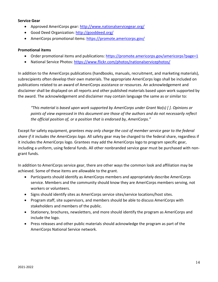#### **Service Gear**

- Approved AmeriCorps gear:<http://www.nationalservicegear.org/>
- Good Deed Organization:<http://gooddeed.org/>
- AmeriCorps promotional items:<https://promote.americorps.gov/>

#### **Promotional items**

- Order promotional items and publications: https://promote.americorps.gov/americorps?page=1
- National Service Photos:<https://www.flickr.com/photos/nationalservicephotos/>

In addition to the AmeriCorps publications (handbooks, manuals, recruitment, and marketing materials), subrecipients often develop their own materials. The appropriate AmeriCorps logo shall be included on publications related to an award of AmeriCorps assistance or resources. An acknowledgement and disclaimer shall be displayed on all reports and other published materials based upon work supported by the award. The acknowledgement and disclaimer may contain language the same as or similar to:

*"This material is based upon work supported by AmeriCorps under Grant No(s) [ ]. Opinions or points of view expressed in this document are those of the authors and do not necessarily reflect the official position of, or a position that is endorsed by, AmeriCorps."*

Except for safety equipment, *grantees may only charge the cost of member service gear to the federal share if it includes the AmeriCorps logo*. All safety gear may be charged to the federal share, regardless if it includes the AmeriCorps logo. Grantees may add the AmeriCorps logo to program specific gear, including a uniform, using federal funds. All other nonbranded service gear must be purchased with nongrant funds.

In addition to AmeriCorps service gear, there are other ways the common look and affiliation may be achieved. Some of these items are allowable to the grant.

- Participants should identify as AmeriCorps members and appropriately describe AmeriCorps service. Members and the community should know they are AmeriCorps members serving, not workers or volunteers.
- Signs should identify sites as AmeriCorps service sites/service locations/host sites.
- Program staff, site supervisors, and members should be able to discuss AmeriCorps with stakeholders and members of the public.
- Stationery, brochures, newsletters, and more should identify the program as AmeriCorps and include the logo.
- Press releases and other public materials should acknowledge the program as part of the AmeriCorps National Service network.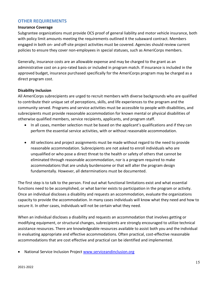#### <span id="page-16-0"></span>**OTHER REQUIREMENTS**

#### **Insurance Coverage**

Subgrantee organizations must provide OCS proof of general liability and motor vehicle insurance, both with policy limit amounts meeting the requirements outlined it the subaward contract. Members engaged in both on- and off-site project activities must be covered. Agencies should review current policies to ensure they cover non-employees in special statuses, such as AmeriCorps members.

Generally, insurance costs are an allowable expense and may be charged to the grant as an administrative cost on a pro-rated basis or included in program match. If insurance is included in the approved budget, insurance purchased specifically for the AmeriCorps program may be charged as a direct program cost.

#### <span id="page-16-1"></span>**Disability Inclusion**

All AmeriCorps subrecipients are urged to recruit members with diverse backgrounds who are qualified to contribute their unique set of perceptions, skills, and life experiences to the program and the community served. Programs and service activities must be accessible to people with disabilities, and subrecipients must provide reasonable accommodation for known mental or physical disabilities of otherwise qualified members, service recipients, applicants, and program staff.

- In all cases, member selection must be based on the applicant's qualifications and if they can perform the essential service activities, with or without reasonable accommodation.
- All selections and project assignments must be made without regard to the need to provide reasonable accommodation. Subrecipients are not asked to enroll individuals who are unqualified or who pose a direct threat to the health or safety of others that cannot be eliminated through reasonable accommodation, nor is a program required to make accommodations that are unduly burdensome or that will alter the program design fundamentally. However, all determinations must be documented.

The first step is to talk to the person. Find out what functional limitations exist and what essential functions need to be accomplished, or what barrier exists to participation in the program or activity. Once an individual discloses a disability and requests an accommodation, evaluate the organizations capacity to provide the accommodation. In many cases individuals will know what they need and how to secure it. In other cases, individuals will not be certain what they need.

When an individual discloses a disability and requests an accommodation that involves getting or modifying equipment, or structural changes, subrecipients are strongly encouraged to utilize technical assistance resources. There are knowledgeable resources available to assist both you and the individual in evaluating appropriate and effective accommodations. Often practical, cost-effective reasonable accommodations that are cost effective and practical can be identified and implemented.

• National Service Inclusion Projec[t www.serviceandinclusion.org](http://www.serviceandinclusion.org/)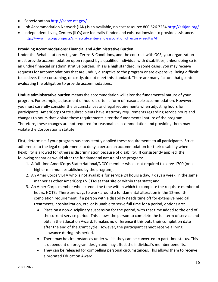- ServeMontana <http://serve.mt.gov/>
- Job Accommodation Network (JAN) is an available, no cost resource 800.526.7234 <http://askjan.org/>
- Independent Living Centers (ILCs) are federally funded and exist nationwide to provide assistance. <http://www.ilru.org/projects/cil-net/cil-center-and-association-directory-results/MT>

#### <span id="page-17-0"></span>**Providing Accommodations: Financial and Administrative Burden**

Under the Rehabilitation Act, grant Terms & Conditions, and the contract with OCS, your organization must provide accommodation upon request by a qualified individual with disabilities, unless doing so is an undue financial or administrative burden. This is a high standard. In some cases, you may receive requests for accommodations that are unduly disruptive to the program or are expensive. Being difficult to achieve, time-consuming, or costly, do not meet this standard. There are many factors that go into evaluating the obligation to provide accommodations.

**Undue administrative burden** means the accommodation will alter the fundamental nature of your program. For example, adjustment of hours is often a form of reasonable accommodation. However, you must carefully consider the circumstances and legal requirements when adjusting hours for participants. AmeriCorps State subrecipients have statutory requirements regarding service hours and changes to hours that violate these requirements alter the fundamental nature of the program. Therefore, these changes are not required for reasonable accommodation and providing them may violate the Corporation's statute.

First, determine if your program has consistently applied these requirements to all participants. Strict adherence to the legal requirements to deny a person an accommodation for their disability when flexibility is allowed for others is discrimination because of disability. If consistently applied, the following scenarios would alter the fundamental nature of the program:

- 1. A full-time AmeriCorps State/National/NCCC member who is not required to serve 1700 (or a higher minimum established by the program);
- 2. An AmeriCorps VISTA who is not available for service 24 hours a day, 7 days a week, in the same manner as other AmeriCorps VISTAs at that site or within that state; and
- 3. An AmeriCorps member who extends the time within which to complete the requisite number of hours. NOTE: There are ways to work around a fundamental alteration in the 12-month completion requirement. If a person with a disability needs time off for extensive medical treatments, hospitalization, etc. or is unable to serve full time for a period, options are:
	- Place on a non-disciplinary suspension for the period, with that time added to the end of the current service period. This allows the person to complete the full term of service and obtain the Education Award. It makes no difference if this puts their completion date after the end of the grant cycle. However, the participant cannot receive a living allowance during this period.
	- There may be circumstances under which they can be converted to part-time status. This is dependent on program design and may affect the individual's member benefits.
	- They can be released for compelling personal circumstances. This allows them to receive a prorated Education Award.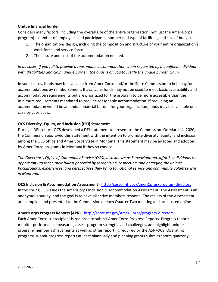#### **Undue financial burden**

Considers many factors, including the overall size of the entire organization (not just the AmeriCorps program) – number of employees and participants; number and type of facilities; and size of budget.

- 1. The organizations design, including the composition and structure of your entire organization's work force and service force.
- 2. The nature and cost of the accommodation needed.

*In all cases, if you fail to provide a reasonable accommodation when requested by a qualified individual with disabilities and claim undue burden, the onus is on you to justify the undue burden claim.*

In some cases, funds may be available from AmeriCorps and/or the State Commission to help pay for accommodations by reimbursement. If available, funds may not be used to meet basic accessibility and accommodation requirements but are prioritized for the program to be more accessible than the minimum requirements mandated to provide reasonable accommodation. If providing an accommodation would be an undue financial burden for your organization, funds may be available on a case by case basis.

#### **OCS Diversity, Equity, and Inclusion (DEI) Statement**

During a DEI cohort, OCS developed a DEI statement to present to the Commission. On March 4, 2020, the Commission approved this statement with the intention to promote diversity, equity, and inclusion among the OCS office and AmeriCorps State in Montana. This statement may be adapted and adopted by AmeriCorps programs in Montana if they so choose.

*The Governor's Office of Community Service (OCS), also known as ServeMontana, affords individuals the opportunity to reach their fullest potential by recognizing, respecting, and engaging the unique backgrounds, experiences, and perspectives they bring to national service and community volunteerism in Montana.*

#### **OCS Inclusion & Accommodation Assessment** - <http://serve.mt.gov/AmeriCorps/program-directors>

In the spring OCS issues the AmeriCorps Inclusion & Accommodation Assessment. The Assessment is an anonymous survey, and the goal is to have all active members respond. The results of the Assessment are compiled and presented to the Commission at each Quarter Two meeting and are posted online.

#### <span id="page-18-0"></span>**AmeriCorps Progress Reports (APR)** - <http://serve.mt.gov/AmeriCorps/program-directors>

Each AmeriCorps subrecipient is required to submit AmeriCorps Progress Reports. Progress reports monitor performance measures, assess program strengths and challenges, and highlight unique program/member achievements as well as other reporting required by the ASN/OCS. Operating programs submit progress reports at least biannually and planning grants submit reports quarterly.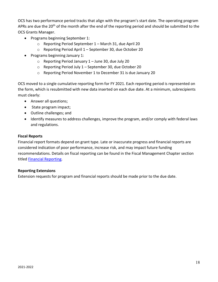OCS has two performance period tracks that align with the program's start date. The operating program APRs are due the 20<sup>th</sup> of the month after the end of the reporting period and should be submitted to the OCS Grants Manager.

- Programs beginning September 1:
	- o Reporting Period September 1 March 31, due April 20
	- o Reporting Period April 1 September 30, due October 20
- Programs beginning January 1:
	- o Reporting Period January 1 June 30, due July 20
	- o Reporting Period July 1 September 30, due October 20
	- o Reporting Period November 1 to December 31 is due January 20

OCS moved to a single cumulative reporting form for FY 2021. Each reporting period is represented on the form, which is resubmitted with new data inserted on each due date. At a minimum, subrecipients must clearly:

- Answer all questions;
- State program impact;
- Outline challenges; and
- Identify measures to address challenges, improve the program, and/or comply with federal laws and regulations.

#### **Fiscal Reports**

Financial report formats depend on grant type. Late or inaccurate progress and financial reports are considered indication of poor performance, increase risk, and may impact future funding recommendations. Details on fiscal reporting can be found in the Fiscal Management Chapter section titled [Financial Reporting.](#page-50-0)

#### **Reporting Extensions**

Extension requests for program and financial reports should be made prior to the due date.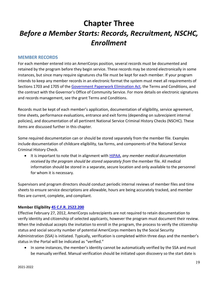# <span id="page-20-0"></span>**Chapter Three** *Before a Member Starts: Records, Recruitment, NSCHC, Enrollment*

#### <span id="page-20-1"></span>**MEMBER RECORDS**

For each member entered into an AmeriCorps position, several records must be documented and retained by the program before they begin service. These records may be stored electronically in some instances, but since many require signatures cha file must be kept for each member. If your program intends to keep any member records in an electronic format the system must meet all requirements of Sections 1703 and 1705 of th[e Government Paperwork Elimination Act,](https://cdt.org/wp-content/uploads/righttoknow/981019gpea.pdf) the Terms and Conditions, and the contract with the Governor's Office of Community Service. For more details on electronic signatures and records management, see the grant Terms and Conditions.

Records must be kept of each member's application, documentation of eligibility, service agreement, time sheets, performance evaluations, entrance and exit forms (depending on subrecipient internal policies), and documentation of all pertinent National Service Criminal History Checks (NSCHC). These items are discussed further in this chapter.

Some required documentation can or should be stored separately from the member file. Examples include documentation of childcare eligibility, tax forms, and components of the National Service Criminal History Check.

• It is important to note that in alignment with [HIPAA,](http://www.hhs.gov/hipaa/) *any member medical documentation received by the program should be stored separately from* the member file. All medical information should be stored in a separate, secure location and only available to the personnel for whom it is necessary.

Supervisors and program directors should conduct periodic internal reviews of member files and time sheets to ensure service descriptions are allowable, hours are being accurately tracked, and member files are current, complete, and compliant.

#### **Member Eligibility [45 C.F.R. 2522.200](https://www.ecfr.gov/cgi-bin/text-idx?SID=1cdddd4ad4d72234ffaa8e34d95c1ddd&mc=true&node=se45.4.2522_1200&rgn=div8)**

Effective February 27, 2012, AmeriCorps subrecipients are not required to retain documentation to verify identity and citizenship of selected applicants, however the program must document their review. When the individual accepts the invitation to enroll in the program, the process to verify the citizenship status and social security number of potential AmeriCorps members by the Social Security Administration (SSA) is initiated. Typically, verification is completed within three days and the member's status in the Portal will be indicated as "verified."

• In some instances, the member's identity cannot be automatically verified by the SSA and must be manually verified. Manual verification should be initiated upon discovery so the start date is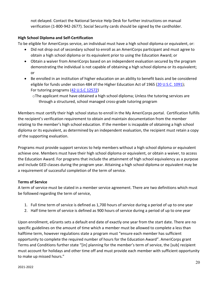not delayed. Contact the National Service Help Desk for further instructions on manual verification (1-800-942-2677). Social Security cards should be signed by the cardholder.

#### **High School Diploma and Self-Certification**

To be eligible for AmeriCorps service, an individual must have a high school diploma or equivalent, or:

- Did not drop out of secondary school to enroll as an AmeriCorps participant and must agree to obtain a high school diploma or its equivalent prior to using the Education Award; or
- Obtain a waiver from AmeriCorps based on an independent evaluation secured by the program demonstrating the individual is not capable of obtaining a high school diploma or its equivalent; or
- Be enrolled in an institution of higher education on an ability to benefit basis and be considered eligible for funds under section 484 of the Higher Education Act of 1965 [\(20 U.S.C. 1091\)](https://uscode.house.gov/view.xhtml?req=(title:20%20section:1091%20edition:prelim)); For tutoring programs [\(42 U.S.C 12572\)](https://www.govinfo.gov/content/pkg/USCODE-2010-title42/html/USCODE-2010-title42-chap129.htm)
	- oThe applicant must have obtained a high school diploma; Unless the tutoring services are through a structured, school managed cross-grade tutoring program

Members must certify their high school status to enroll in the My AmeriCorps portal. Certification fulfills the recipient's verification requirement to obtain and maintain documentation from the member relating to the member's high school education. If the member is incapable of obtaining a high school diploma or its equivalent, as determined by an independent evaluation, the recipient must retain a copy of the supporting evaluation.

Programs must provide support services to help members without a high school diploma or equivalent achieve one. Members must have their high school diploma or equivalent, or obtain a waiver, to access the Education Award. For programs that include the attainment of high school equivalency as a purpose and include GED classes during the program year. Attaining a high school diploma or equivalent may be a requirement of successful completion of the term of service.

#### **Terms of Service**

A term of service must be stated in a member service agreement. There are two definitions which must be followed regarding the term of service,

- 1. Full time term of service is defined as 1,700 hours of service during a period of up to one year
- 2. Half time term of service is defined as 900 hours of service during a period of up to one year

Upon enrollment, eGrants sets a default end date of exactly one year from the start date. There are no specific guidelines on the amount of time which a member must be allowed to complete a less than halftime term, however regulations state a program must "ensure each member has sufficient opportunity to complete the required number of hours for the Education Award". AmeriCorps grant Terms and Conditions further state "[in] planning for the member's term of service, the [sub] recipient must account for holidays and other time off and must provide each member with sufficient opportunity to make up missed hours."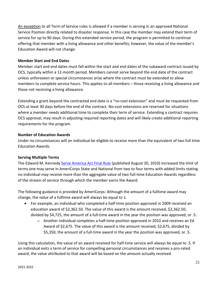An exception to all Term of Service rules is allowed if a member is serving in an approved National Service Position directly related to disaster response. In this case the member may extend their term of service for up to 90 days. During this extended service period, the program is permitted to continue offering that member with a living allowance and other benefits; however, the value of the member's Education Award will not change.

#### **Member Start and End Dates**

Member start and end dates must fall within the start and end dates of the subaward contract issued by OCS, typically within a 12-month period. Members cannot serve beyond the end date of the contract unless unforeseen or special circumstances arise where the contract must be extended to allow members to complete service hours. This applies to all members – those receiving a living allowance and those not receiving a living allowance.

Extending a grant beyond the contracted end date is a "no-cost extension" and must be requested from OCS at least 30 days before the end of the contract. No-cost extensions are reserved for situations where a member needs additional time to complete their term of service. Extending a contract requires OCS approval, may result in adjusting required reporting dates and will likely create additional reporting requirements for the program.

#### **Number of Education Awards**

Under no circumstances will an individual be eligible to receive more than the equivalent of two full time Education Awards.

#### **Serving Multiple Terms**

The Edward M. Kennedy [Serve America Act Final Rule](https://www.federalregister.gov/documents/2010/08/20/2010-20525/americorps-national-service-program) (published August 20, 2010) increased the limit of terms one may serve in AmeriCorps State and National from two to four terms with added limits stating no individual may receive more than the aggregate value of two full-time Education Awards regardless of the stream of service through which the member earns the Award.

The following guidance is provided by AmeriCorps: Although the *amount* of a fulltime award may change, the *value* of a fulltime award will always be equal to 1.

- For example, an individual who completed a half-time position approved in 2009 received an education award of \$2,362.50. The value of this award is the amount received, \$2,362.50, divided by \$4,725, the amount of a full-time award in the year the position was approved, or .5.
	- o Another individual completes a half-time position approved in 2010 and receives an Ed Award of \$2,675. The value of this award is the amount received, \$2,675, divided by \$5,350, the amount of a full-time award in the year the position was approved, or .5.

Using this calculation, the value of an award received for half-time service will always be equal to .5. If an individual exits a term of service for compelling personal circumstances and receives a pro-rated award, the value attributed to that award will be based on the amount actually received.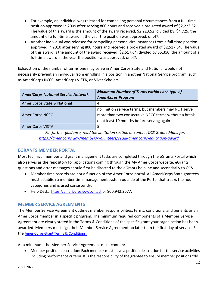- For example, an individual was released for compelling personal circumstances from a full-time position approved in 2009 after serving 800 hours and received a pro-rated award of \$2,223.52. The value of this award is the amount of the award received, \$2,223.52, divided by, \$4,725, the amount of a full-time award in the year the position was approved, or .47.
- Another individual was released for compelling personal circumstances from a full-time position approved in 2010 after serving 800 hours and received a pro-rated award of \$2,517.64. The value of this award is the amount of the award received, \$2,517.64, divided by \$5,350, the amount of a full-time award in the year the position was approved, or .47.

Exhaustion of the number of terms one may serve in AmeriCorps State and National would not necessarily prevent an individual from enrolling in a position in another National Service program, such as AmeriCorps NCCC, AmeriCorps VISTA, or Silver Scholars.

| <b>AmeriCorps National Service Network</b> | <b>Maximum Number of Terms within each type of</b><br><b>AmeriCorps Program</b>                                                                            |  |
|--------------------------------------------|------------------------------------------------------------------------------------------------------------------------------------------------------------|--|
| AmeriCorps State & National                | 4                                                                                                                                                          |  |
| <b>AmeriCorps NCCC</b>                     | no limit on service terms, but members may NOT serve<br>more than two consecutive NCCC terms without a break<br>of at least 10 months before serving again |  |
| <b>AmeriCorps VISTA</b>                    | 5                                                                                                                                                          |  |

*For further guidance, read the limitation section or contact OCS Grants Manager, <https://americorps.gov/members-volunteers/segal-americorps-education-award>*

#### **EGRANTS MEMBER PORTAL**

Most technical member and grant management tasks are completed through the eGrants Portal which also serves as the repository for applications coming through the My AmeriCorps website. eGrants questions and error messages should first be directed to the eGrants helpline and secondarily to OCS.

- Member time records are not a function of the AmeriCorps portal. All AmeriCorps State grantees must establish a member time management system outside of the Portal that tracks the hour categories and is used consistently.
- Help Desk: <https://americorps.gov/contact> or 800.942.2677.

#### <span id="page-23-0"></span>**MEMBER SERVICE AGREEMENTS**

The Member Service Agreement outlines member responsibilities, terms, conditions, and benefits as an AmeriCorps member in a specific program. The minimum required components of a Member Service Agreement are clearly stated in the Terms & Conditions of the specific grant your organization has been awarded. Members must sign their Member Service Agreement no later than the first day of service. See the [AmeriCorps Grant Terms & Conditions.](https://americorps.gov/grantees-sponsors/state-subgrantees)

At a minimum, the Member Service Agreement must contain:

• Member position description: Each member must have a position description for the service activities including performance criteria. It is the responsibility of the grantee to ensure member positions "do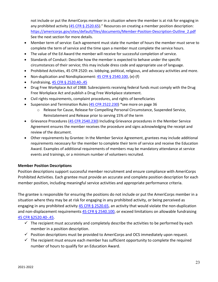not include or put the AmeriCorps member in a situation where the member is at risk for engaging in any prohibited activity [\(45 CFR § 2520.65\)](https://www.ecfr.gov/cgi-bin/retrieveECFR?gp=&SID=8d39dfd206f17d00178ffa4c35843b97&mc=true&n=pt45.5.2520&r=PART&ty=HTML#se45.5.2520_165)." Resources on creating a member position description: [https://americorps.gov/sites/default/files/documents/Member-Position-Description-Outline\\_2.pdf](https://americorps.gov/sites/default/files/documents/Member-Position-Description-Outline_2.pdf) See the next section for more details.

- Member term of service: Each agreement must state the number of hours the member must serve to complete the term of service and the time span a member must complete the service hours.
- The value of the Ed Award the member will receive for successful completion of service.
- Standards of Conduct: Describe how the member is expected to behave under the specific circumstances of their service; this may include dress code and appropriate use of language.
- Prohibited Activities, 45 CFR 2520: ex. lobbying, political, religious, and advocacy activities and more.
- Non-duplication and Nondisplacement[: 45 CFR § 2540.100,](https://www.ecfr.gov/cgi-bin/text-idx?node=pt45.5.2540&rgn=div5#se45.5.2540_1100) (e)-(f)
- Fundraising, [45 CFR § 2520.40-.45](https://www.ecfr.gov/cgi-bin/text-idx?c=ecfr&SID=4193d25175e06a4c35ecfadf2e6252a0&rgn=div5&view=text&node=45:4.1.9.11.13&idno=45#se45.5.2520_140)
- Drug Free Workplace Act of 1988: Subrecipients receiving federal funds must comply with the Drug Free Workplace Act and publish a Drug Free Workplace statement.
- Civil rights requirements, complaint procedures, and rights of beneficiaries
- Suspension and Termination Rules [\(45 CFR 2522.230\)](https://www.ecfr.gov/cgi-bin/text-idx?node=pt45.5.2522&rgn=div5#se45.5.2522_1230) \*see more on page 36
	- o Release for Cause, Release for Compelling Personal Circumstance, Suspended Service, Reinstatement and Release prior to serving 15% of the term
- Grievance Procedures [\(45 CFR 2540.230\)](https://www.ecfr.gov/cgi-bin/text-idx?node=se45.5.2540_1230&rgn=div8) Including Grievance procedures in the Member Service Agreement ensures the member receives the procedure and signs acknowledging the receipt and review of the document.
- Other requirements by Grantee: In the Member Service Agreement, grantees may include additional requirements necessary for the member to complete their term of service and receive the Education Award. Examples of additional requirements of members may be mandatory attendance at service events and trainings, or a minimum number of volunteers recruited.

#### <span id="page-24-0"></span>**Member Position Descriptions**

Position descriptions support successful member recruitment and ensure compliance with AmeriCorps Prohibited Activities. Each grantee must provide an accurate and complete position description for each member position, including meaningful service activities and appropriate performance criteria.

The grantee is responsible for ensuring the positions do not include or put the AmeriCorps member in a situation where they may be at risk for engaging in any prohibited activity, or being perceived as engaging in any prohibited activity [45 CFR § 2520.65,](https://www.ecfr.gov/cgi-bin/text-idx?SID=2d9c321b5db0f2a5a4286116d41ab206&node=se45.4.2520_165&rgn=div8) an activity that would violate the non-duplication and non-displacement requirements [45 CFR § 2540.100,](https://www.ecfr.gov/cgi-bin/text-idx?c=ecfr&SID=4193d25175e06a4c35ecfadf2e6252a0&rgn=div5&view=text&node=45:4.1.9.11.28&idno=45#se45.5.2540_1100) or exceed limitations on allowable fundraising [45 CFR §2520.40-.45.](https://www.ecfr.gov/cgi-bin/text-idx?c=ecfr&SID=4193d25175e06a4c35ecfadf2e6252a0&rgn=div5&view=text&node=45:4.1.9.11.13&idno=45#se45.5.2520_140)

- $\checkmark$  The recipient must accurately and completely describe the activities to be performed by each member in a position description.
- $\checkmark$  Position descriptions must be provided to AmeriCorps and OCS immediately upon request.
- $\checkmark$  The recipient must ensure each member has sufficient opportunity to complete the required number of hours to qualify for an Education Award.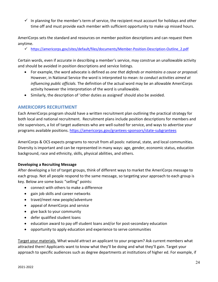$\checkmark$  In planning for the member's term of service, the recipient must account for holidays and other time off and must provide each member with sufficient opportunity to make up missed hours.

AmeriCorps sets the standard and resources on member position descriptions and can request them anytime.

[https://americorps.gov/sites/default/files/documents/Member-Position-Description-Outline\\_2.pdf](https://americorps.gov/sites/default/files/documents/Member-Position-Description-Outline_2.pdf)

Certain words, even if accurate in describing a member's service, may construe an unallowable activity and should be avoided in position descriptions and service listings.

- For example, the word advocate is defined as *one that defends or maintains a cause or proposal.*  However, in National Service the word is interpreted to mean: *to conduct activities aimed at influencing public officials.* The definition of the actual word may be an allowable AmeriCorps activity however the interpretation of the word is unallowable.
- Similarly, the description of 'other duties as assigned' should also be avoided.

#### <span id="page-25-0"></span>**AMERICORPS RECRUITMENT**

Each AmeriCorps program should have a written recruitment plan outlining the practical strategy for both local and national recruitment. Recruitment plans include position descriptions for members and site supervisors, a list of target audiences who are well-suited for service, and ways to advertise your programs available positions.<https://americorps.gov/grantees-sponsors/state-subgrantees>

AmeriCorps & OCS expects programs to recruit from all pools: national, state, and local communities. Diversity is important and can be represented in many ways: age, gender, economic status, education background, race and ethnicity, skills, physical abilities, and others.

#### **Developing a Recruiting Message**

After developing a list of target groups, think of different ways to market the AmeriCorps message to each group. Not all people respond to the same message, so targeting your approach to each group is key. Below are some basic "selling" points:

- connect with others to make a difference
- gain job skills and career networks
- travel/meet new people/adventure
- appeal of AmeriCorps and service
- give back to your community
- defer qualified student loans
- education award to pay off student loans and/or for post-secondary education
- opportunity to apply education and experience to serve communities

Target your materials. What would attract an applicant to your program? Ask current members what attracted them! Applicants want to know what they'll be doing and what they'll gain. Target your approach to specific audiences such as degree departments at institutions of higher ed. For example, if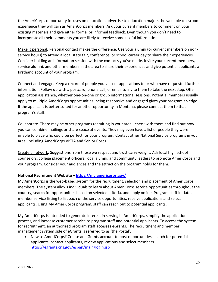the AmeriCorps opportunity focuses on education, advertise to education majors the valuable classroom experience they will gain as AmeriCorps members. Ask your current members to comment on your existing materials and give either formal or informal feedback. Even though you don't need to incorporate all their comments you are likely to receive some useful information

Make it personal**.** Personal contact makes the difference. Use your alumni (or current members on nonservice hours) to attend a local state fair, conference, or school career day to share their experiences. Consider holding an information session with the contacts you've made. Invite your current members, service alumni, and other members in the area to share their experiences and give potential applicants a firsthand account of your program.

Connect and engage**.** Keep a record of people you've sent applications to or who have requested further information. Follow up with a postcard, phone call, or email to invite them to take the next step. Offer application assistance, whether one-on-one or group informational sessions. Potential members usually apply to multiple AmeriCorps opportunities; being responsive and engaged gives your program an edge. If the applicant is better suited for another opportunity in Montana, please connect them to that program's staff.

Collaborate. There may be other programs recruiting in your area - check with them and find out how you can combine mailings or share space at events. They may even have a list of people they were unable to place who could be perfect for your program. Contact other National Service programs in your area, including AmeriCorps VISTA and Senior Corps.

Create a network**.** Suggestions from those we respect and trust carry weight. Ask local high school counselors, college placement officers, local alumni, and community leaders to promote AmeriCorps and your program. Consider your audiences and the attraction the program holds for them.

#### **National Recruitment Website – <https://my.americorps.gov/>**

My AmeriCorps is the web-based system for the recruitment, selection and placement of AmeriCorps members. The system allows individuals to learn about AmeriCorps service opportunities throughout the country, search for opportunities based on selected criteria, and apply online. Program staff initiate a member service listing to list each of the service opportunities, receive applications and select applicants. Using My AmeriCorps program, staff can reach out to potential applicants.

My AmeriCorps is intended to generate interest in serving in AmeriCorps, simplify the application process, and increase customer service to program staff and potential applicants. To access the system for recruitment, an authorized program staff accesses eGrants. The recruitment and member management system side of eGrants is referred to as 'the Portal'.

• New to AmeriCorps? Create an eGrants account to post opportunities, search for potential applicants, contact applicants, review applications and select members. <https://egrants.cns.gov/espan/main/login.jsp>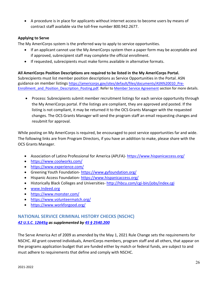• A procedure is in place for applicants without internet access to become users by means of contract staff available via the toll-free number 800.942.2677.

#### **Applying to Serve**

The My AmeriCorps system is the preferred way to apply to service opportunities.

- If an applicant cannot use the My AmeriCorps system then a paper form may be acceptable and if approved, subrecipient staff may complete the official enrollment.
- If requested, subrecipients must make forms available in alternative formats.

**All AmeriCorps Position Descriptions are required to be listed in the My AmeriCorps Portal.** Subrecipients must list member position descriptions as Service Opportunities in the Portal. ASN guidance on member listings [https://americorps.gov/sites/default/files/documents/ASN%20010\\_Pre-](https://americorps.gov/sites/default/files/documents/ASN%20010_Pre-Enrollment_and_Position_Description_Posting.pdf)[Enrollment\\_and\\_Position\\_Description\\_Posting.pdf.](https://americorps.gov/sites/default/files/documents/ASN%20010_Pre-Enrollment_and_Position_Description_Posting.pdf) Refer to [Member Service Agreement](#page-24-0) section for more details.

• Process: Subrecipients submit member recruitment listings for each service opportunity through the My AmeriCorps portal. If the listings are compliant, they are approved and posted. If the listing is not compliant, it may be returned it to the OCS Grants Manager with the requested changes. The OCS Grants Manager will send the program staff an email requesting changes and resubmit for approval.

While posting on My AmeriCorps is required, be encouraged to post service opportunities far and wide. The following links are from Program Directors, if you have an addition to make, please share with the OCS Grants Manager.

- Association of Latino Professional for America (APLFA)- [https://www.hispanicaccess.org/](https://na01.safelinks.protection.outlook.com/?url=https%3A%2F%2Fwww.hispanicaccess.org%2F&data=02%7C01%7CSSadowski%40mt.gov%7C9d1efba8f83e40eb273508d5a6e0ce72%7C07a94c98f30f4abbbd7ed63f8720dc02%7C0%7C1%7C636598406889878035&sdata=k9SztDkZr%2B3OeznRIaG%2Bgt9AssDen8GGU%2FnRpbQF1KI%3D&reserved=0)
- <https://www.coolworks.com/>
- <https://www.experience.com/>
- Greening Youth Foundation- [https://www.gyfoundation.org/](https://na01.safelinks.protection.outlook.com/?url=https%3A%2F%2Fwww.gyfoundation.org%2F&data=02%7C01%7CSSadowski%40mt.gov%7C9d1efba8f83e40eb273508d5a6e0ce72%7C07a94c98f30f4abbbd7ed63f8720dc02%7C0%7C1%7C636598406889878035&sdata=zGgRpiREqizBw%2FJH%2Br2S3SJiY3FRSqilXYMMiTTb9zk%3D&reserved=0)
- Hispanic Access Foundation-[https://www.hispanicaccess.org/](https://na01.safelinks.protection.outlook.com/?url=https%3A%2F%2Fwww.hispanicaccess.org%2F&data=02%7C01%7CSSadowski%40mt.gov%7C9d1efba8f83e40eb273508d5a6e0ce72%7C07a94c98f30f4abbbd7ed63f8720dc02%7C0%7C1%7C636598406889878035&sdata=k9SztDkZr%2B3OeznRIaG%2Bgt9AssDen8GGU%2FnRpbQF1KI%3D&reserved=0)
- Historically Black Colleges and Universities- [http://hbcu.com/cgi-bin/jobs/index.cgi](https://na01.safelinks.protection.outlook.com/?url=http%3A%2F%2Fhbcu.com%2Fcgi-bin%2Fjobs%2Findex.cgi&data=02%7C01%7CSSadowski%40mt.gov%7C9d1efba8f83e40eb273508d5a6e0ce72%7C07a94c98f30f4abbbd7ed63f8720dc02%7C0%7C1%7C636598406889878035&sdata=xzq3i5H2%2Bp56DApOm5p9tI%2BsPh24CDXHdTpdWFC5GBk%3D&reserved=0)
- [www.Indeed.org](http://www.indeed.org/)
- <https://www.monster.com/>
- <https://www.volunteermatch.org/>
- <https://www.workforgood.org/>

#### <span id="page-27-0"></span>**NATIONAL SERVICE CRIMINAL HISTORY CHECKS (NSCHC)** *[42 U.S.C. 12645g](https://www.govinfo.gov/content/pkg/USCODE-2009-title42/html/USCODE-2009-title42-chap129-subchapI-divsnF-sec12645g.htm) as supplemented by [45 § 2540.200](https://ecfr.federalregister.gov/current/title-45/subtitle-B/chapter-XXV/part-2540/subpart-B)*

The Serve America Act of 2009 as amended by the May 1, 2021 Rule Change sets the requirements for NSCHC. All grant covered individuals, AmeriCorps members, program staff and all others, that appear on the programs application budget that are funded either by match or federal funds, are subject to and must adhere to requirements that define and comply with NSCHC.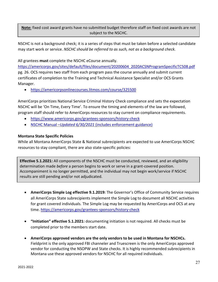**Note:** fixed cost award grants have no submitted budget therefore staff on fixed cost awards are not subject to the NSCHC.

NSCHC is not a background check; it is a series of steps that must be taken before a selected candidate may start work or service. *NSCHC should be referred to as such, not as a background check.*

All grantees **must** complete the NSCHC eCourse annually.

[https://americorps.gov/sites/default/files/document/20200604\\_2020ACSNProgramSpecificTC508.pdf](https://americorps.gov/sites/default/files/document/20200604_2020ACSNProgramSpecificTC508.pdf) pg. 26. OCS requires two staff from each program pass the course annually and submit current certificates of completion to the Training and Technical Assistance Specialist and/or OCS Grants Manager.

• <https://americorpsonlinecourses.litmos.com/course/325500>

AmeriCorps prioritizes National Service Criminal History Check compliance and sets the expectation NSCHC will be 'On Time, Every Time'. To ensure the timing and elements of the law are followed, program staff should refer to AmeriCorps resources to stay current on compliance requirements.

- <https://www.americorps.gov/grantees-sponsors/history-check>
- [NSCHC Manual](https://americorps.gov/sites/default/files/document/06_30_21_NSCHCManual_OCRO.pdf) –*Updated 6/30/2021* (includes enforcement guidance)

#### **Montana State Specific Policies**

While all Montana AmeriCorps State & National subrecipients are expected to use AmeriCorps NSCHC resources to stay compliant, there are also state-specific policies:

**Effective 5.1.2021:** All components of the NSCHC must be conducted, reviewed, and an eligibility determination made *before* a person begins to work or serve in a grant-covered position. Accompaniment is no longer permitted, and the individual may not begin work/service if NSCHC results are still pending and/or not adjudicated.

- **AmeriCorps Simple Log effective 9.1.2019:** The Governor's Office of Community Service requires all AmeriCorps State subrecipients implement the Simple Log to document all NSCHC activities for grant covered individuals. The Simple Log may be requested by AmeriCorps and OCS at any time.<https://americorps.gov/grantees-sponsors/history-check>
- **"Initiation" effective 5.1.2021:** documenting initiation is not required. All checks must be completed prior to the members start date.
- **AmeriCorps approved vendors are the only vendors to be used in Montana for NSCHCs.** Fieldprint is the only approved FBI channeler and Truescreen is the only AmeriCorps approved vendor for conducting the NSOPW and State checks. It is highly recommended subrecipients in Montana use these approved vendors for NSCHC for all required individuals.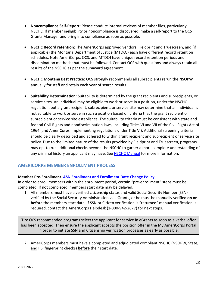- **Noncompliance Self-Report:** Please conduct internal reviews of member files, particularly NSCHC. If member ineligibility or noncompliance is discovered, make a self-report to the OCS Grants Manager and bring into compliance as soon as possible.
- **NSCHC Record retention:** The AmeriCorps approved vendors, Fieldprint and Truescreen, and (if applicable) the Montana Department of Justice (MTDOJ) each have different record retention schedules. Note AmeriCorps, OCS, and MTDOJ have unique record retention periods and dissemination methods that must be followed. Contact OCS with questions and always retain all results of the NSCHC as per the subaward agreement.
- **NSCHC Montana Best Practice:** OCS strongly recommends all subrecipients rerun the NSOPW annually for staff and retain each year of search results.
- <span id="page-29-1"></span>• **Suitability Determination:** Suitability is determined by the grant recipients and subrecipients, or service sites. An individual may be eligible to work or serve in a position, under the NSCHC regulation, but a grant recipient, subrecipient, or service site may determine that an individual is not suitable to work or serve in such a position based on criteria that the grant recipient or subrecipient or service site establishes. The suitability criteria must be consistent with state and federal Civil Rights and nondiscrimination laws, including Titles VI and VII of the Civil Rights Act of 1964 (and AmeriCorps' implementing regulations under Title VI). Additional screening criteria should be clearly described and adhered to within grant recipient and subrecipient or service site policy. Due to the limited nature of the results provided by Fieldprint and Truescreen, programs may opt to run additional checks beyond the NSCHC to garner a more complete understanding of any criminal history an applicant may have. See **NSCHC Manual** for more information.

#### <span id="page-29-0"></span>**AMERICORPS MEMBER ENROLLMENT PROCESS**

#### **Member Pre-Enrollment [ASN Enrollment and Enrollment Date Change Policy](http://americorps.gov/sites/default/files/document/2021.01_ASN_MemberEnrollment_Updated_2021-04_FINAL.pdf)**

In order to enroll members within the enrollment period, certain "pre-enrollment" steps must be completed. If not completed, members start date may be delayed.

1. All members must have a verified citizenship status and valid Social Security Number (SSN) verified by the Social Security Administration via eGrants, or be must be manually verified **on or before** the members start date. If SSN or Citizen verification is "returned" manual verification is required, contact the AmeriCorps Helpdesk (1-800-942-2677) for next steps.

**Tip:** OCS recommended programs select the applicant for service in eGrants as soon as a verbal offer has been accepted. Then ensure the applicant accepts the position offer in the My AmeriCorps Portal in order to initiate SSN and Citizenship verification processes as early as possible.

2. AmeriCorps members must have a completed and adjudicated compliant NSCHC (NSOPW, State, and FBI fingerprint checks) **before** their start date.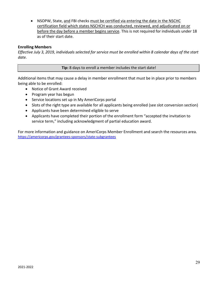• NSOPW, State, and FBI checks must be certified via entering the date in the NSCHC certification field which states NSCHCH was conducted, reviewed, and adjudicated on or before the day before a member begins service. This is not required for individuals under 18 as of their start date.

#### **Enrolling Members**

*Effective July 3, 2019, individuals selected for service must be enrolled within 8 calendar days of the start date.*

#### **Tip:** 8 days to enroll a member includes the start date!

Additional items that may cause a delay in member enrollment that must be in place prior to members being able to be enrolled:

- Notice of Grant Award received
- Program year has begun
- Service locations set up in My AmeriCorps portal
- Slots of the right type are available for all applicants being enrolled (see slot conversion section)
- Applicants have been determined eligible to serve
- Applicants have completed their portion of the enrollment form "accepted the invitation to service term," including acknowledgment of partial education award.

For more information and guidance on AmeriCorps Member Enrollment and search the resources area. <https://americorps.gov/grantees-sponsors/state-subgrantees>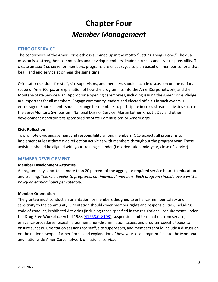# **Chapter Four** *Member Management*

#### <span id="page-31-0"></span>**ETHIC OF SERVICE**

The centerpiece of the AmeriCorps ethic is summed up in the motto "Getting Things Done." The dual mission is to strengthen communities and develop members' leadership skills and civic responsibility. To create an *esprit de corps* for members, programs are encouraged to plan based on member cohorts that begin and end service at or near the same time.

Orientation sessions for staff, site supervisors, and members should include discussion on the national scope of AmeriCorps, an explanation of how the program fits into the AmeriCorps network, and the Montana State Service Plan. Appropriate opening ceremonies, including issuing the AmeriCorps Pledge, are important for all members. Engage community leaders and elected officials in such events is encouraged. Subrecipients should arrange for members to participate in cross-stream activities such as the ServeMontana Symposium, National Days of Service, Martin Luther King, Jr. Day and other development opportunities sponsored by State Commissions or AmeriCorps.

#### **Civic Reflection**

To promote civic engagement and responsibility among members, OCS expects all programs to implement at least three civic reflection activities with members throughout the program year. These activities should be aligned with your training calendar (i.e. orientation, mid-year, close of service).

#### <span id="page-31-1"></span>**MEMBER DEVELOPMENT**

#### **Member Development Activities**

A program may allocate no more than 20 percent of the aggregate required service hours to education and training. *This rule applies to programs, not individual members. Each program should have a written policy on earning hours per category.*

#### **Member Orientation**

The grantee must conduct an orientation for members designed to enhance member safety and sensitivity to the community. Orientation should cover member rights and responsibilities, including code of conduct, Prohibited Activities (including those specified in the regulations), requirements under the Drug-Free Workplace Act of 1988 [\(41 U.S.C.](https://uscode.house.gov/view.xhtml?req=(title:41%20chapter:81%20edition:prelim)%20) 8103), suspension and termination from service, grievance procedures, sexual harassment, non-discrimination issues, and program specific topics to ensure success. Orientation sessions for staff, site supervisors, and members should include a discussion on the national scope of AmeriCorps, and explanation of how your local program fits into the Montana and nationwide AmeriCorps network of national service.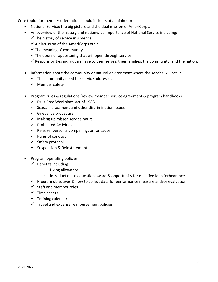#### Core topics for member orientation should include, at a minimum

- National Service: the big picture and the dual mission of AmeriCorps.
- An overview of the history and nationwide importance of National Service including:
	- $\checkmark$  The history of service in America
	- $\checkmark$  A discussion of the AmeriCorps ethic
	- $\checkmark$  The meaning of community
	- $\checkmark$  The doors of opportunity that will open through service
	- $\checkmark$  Responsibilities individuals have to themselves, their families, the community, and the nation.
- Information about the community or natural environment where the service will occur.
	- $\checkmark$  The community need the service addresses
	- $\checkmark$  Member safety
- Program rules & regulations (review member service agreement & program handbook)
	- $\checkmark$  Drug Free Workplace Act of 1988
	- $\checkmark$  Sexual harassment and other discrimination issues
	- $\checkmark$  Grievance procedure
	- $\checkmark$  Making up missed service hours
	- $\checkmark$  Prohibited Activities
	- $\checkmark$  Release: personal compelling, or for cause
	- $\checkmark$  Rules of conduct
	- $\checkmark$  Safety protocol
	- $\checkmark$  Suspension & Reinstatement
- Program operating policies
	- $\checkmark$  Benefits including:
		- o Living allowance
		- $\circ$  Introduction to education award & opportunity for qualified loan forbearance
	- $\checkmark$  Program objectives & how to collect data for performance measure and/or evaluation
	- $\checkmark$  Staff and member roles
	- $\checkmark$  Time sheets
	- $\checkmark$  Training calendar
	- $\checkmark$  Travel and expense reimbursement policies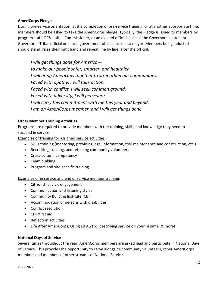#### **AmeriCorps Pledge**

During pre-service orientation, at the completion of pre-service training, or at another appropriate time, members should be asked to take the AmeriCorps pledge. Typically, the Pledge is issued to members by program staff, OCS staff, a Commissioner, or an elected official, such as the Governor, Lieutenant Governor, a Tribal official or a local government official, such as a mayor. Members being inducted should stand, raise their right hand and repeat line by line, after the official.

*I will get things done for America to make our people safer, smarter, and healthier. I will bring Americans together to strengthen our communities. Faced with apathy, I will take action. Faced with conflict, I will seek common ground. Faced with adversity, I will persevere. I will carry this commitment with me this year and beyond. I am an AmeriCorps member, and I will get things done.*

#### **Other Member Training Activities**

Programs are required to provide members with the training, skills, and knowledge they need to succeed in service.

Examples of training for assigned service activities:

- Skills training (mentoring, providing legal information, trail maintenance and construction, etc.)
- Recruiting, training, and retaining community volunteers
- Cross-cultural competency
- Team building
- Program and site-specific training

Examples of in service and end of service member training:

- Citizenship, civic engagement
- Communication and listening styles
- Community Building Institute (CBI)
- Accommodation of persons with disabilities
- Conflict resolution
- CPR/first aid
- Reflection activities
- Life After AmeriCorps, Using Ed Award, describing service on your résumé, & more!

#### **National Days of Service**

Several times throughout the year, AmeriCorps members are asked lead and participate in National Days of Service. This provides the opportunity to serve alongside community volunteers, other AmeriCorps members and members of other streams of National Service.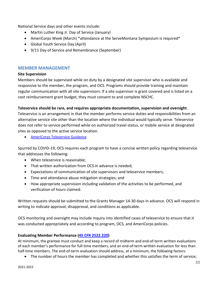National Service days and other events include:

- Martin Luther King Jr. Day of Service (January)
- AmeriCorps Week (March) \*attendance at the ServeMontana Symposium is required\*
- Global Youth Service Day (April)
- 9/11 Day of Service and Remembrance (September)

#### <span id="page-34-0"></span>**MEMBER MANAGEMENT**

#### **Site Supervision**

Members should be supervised while on duty by a designated site supervisor who is available and responsive to the member, the program, and OCS. Programs should provide training and maintain regular communication with all site supervisors. If a site supervisor is grant covered and is listed on a cost reimbursement grant budget, they must consent to and complete NSCHC.

#### **Teleservice should be rare, and requires appropriate documentation, supervision and oversight**.

Teleservice is an arrangement in that the member performs service duties and responsibilities from an alternative service site other than the location where the individual would typically serve. Teleservice does not refer to service performed while on authorized travel status, or mobile service at designated sites as opposed to the active service location.

• [AmeriCorps Teleservice Guidance](https://americorps.gov/sites/default/files/documents/ASN%20006%20Teleservice%20Guidance.pdf)

Spurred by COVID-19, OCS requires each program to have a concise written policy regarding teleservice that addresses the following:

- When teleservice is reasonable;
- That written authorization from OCS in advance is needed;
- Expectations of communication of site supervisors and teleservice members;
- Time and attendance abuse mitigation strategies; and
- How appropriate supervision including validation of the activities to be performed, and verification of hours claimed.

Written requests should be submitted to the Grants Manager 14-30 days in advance. OCS will respond in writing to indicate approval, disapproval, and conditions as applicable.

OCS monitoring and oversight may include inquiry into identified cases of teleservice to ensure that it was conducted appropriately and according to program, OCS, and AmeriCorps policies.

#### **Evaluating Member Performance [\(45 CFR 2522.220\)](https://www.ecfr.gov/cgi-bin/retrieveECFR?gp=&SID=c7a88f3c154b4d8c0f91d671ea3a8138&mc=true&r=PART&n=pt45.5.2522#se45.5.2522_1220)**

At minimum, the grantee must conduct and keep a record of midterm and end-of-term written evaluations of each member's performance for full-time members, and an end-of-term written evaluation for less than half-time members. The end-of-term evaluation should address, at a minimum, the following factors:

• The number of hours the member has completed and whether this satisfies the term of service;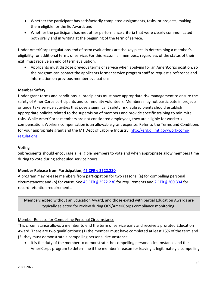- Whether the participant has satisfactorily completed assignments, tasks, or projects, making them eligible for the Ed Award; and
- Whether the participant has met other performance criteria that were clearly communicated both orally and in writing at the beginning of the term of service.

Under AmeriCorps regulations end of term evaluations are the key piece in determining a member's eligibility for additional terms of service. For this reason, all members, regardless of the status of their exit, must receive an end of term evaluation.

• Applicants must disclose previous terms of service when applying for an AmeriCorps position, so the program can contact the applicants former service program staff to request a reference and information on previous member evaluations.

#### **Member Safety**

Under grant terms and conditions, subrecipients must have appropriate risk management to ensure the safety of AmeriCorps participants and community volunteers. Members may not participate in projects or undertake service activities that pose a significant safety risk. Subrecipients should establish appropriate policies related to the supervision of members and provide specific training to minimize risks. While AmeriCorps members are not considered employees, they are eligible for worker's compensation. Workers compensation is an allowable grant expense. Refer to the Terms and Conditions for your appropriate grant and the MT Dept of Labor & Industry: [http://erd.dli.mt.gov/work-comp](http://erd.dli.mt.gov/work-comp-regulations)[regulations](http://erd.dli.mt.gov/work-comp-regulations)

#### **Voting**

Subrecipients should encourage all eligible members to vote and when appropriate allow members time during to vote during scheduled service hours.

#### <span id="page-35-0"></span>**Member Release from Participation, 45 CFR § [2522.230](https://www.ecfr.gov/cgi-bin/retrieveECFR?gp=&SID=c7a88f3c154b4d8c0f91d671ea3a8138&mc=true&r=PART&n=pt45.5.2522#se45.5.2522_1230)**

A program may release members from participation for two reasons: (a) for compelling personal circumstances; and (b) for cause. See  $45$  CFR § [2522.230](https://www.ecfr.gov/cgi-bin/retrieveECFR?gp=&SID=c7a88f3c154b4d8c0f91d671ea3a8138&mc=true&r=PART&n=pt45.5.2522#se45.5.2522_1230) for requirements and 2 CFR § [200.334](https://www.ecfr.gov/cgi-bin/text-idx?SID=0c128702391d78f7933c6232786b86f4&mc=true&node=se2.1.200_1334&rgn=div8) for record retention requirements.

Members exited without an Education Award, and those exited with partial Education Awards are typically selected for review during OCS/AmeriCorps compliance monitoring.

#### Member Release for Compelling Personal Circumstance

This circumstance allows a member to end the term of service early and receive a prorated Education Award. There are two qualifications: (1) the member must have completed at least 15% of the term and (2) they must demonstrate a compelling personal circumstance.

• It is the duty of the member to demonstrate the compelling personal circumstance and the AmeriCorps program to determine if the member's reason for leaving is legitimately a compelling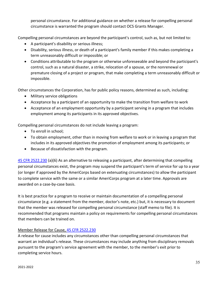personal circumstance. For additional guidance on whether a release for compelling personal circumstance is warranted the program should contact OCS Grants Manager.

Compelling personal circumstances are beyond the participant's control, such as, but not limited to:

- A participant's disability or serious illness;
- Disability, serious illness, or death of a participant's family member if this makes completing a term unreasonably difficult or impossible; or
- Conditions attributable to the program or otherwise unforeseeable and beyond the participant's control, such as a natural disaster, a strike, relocation of a spouse, or the nonrenewal or premature closing of a project or program, that make completing a term unreasonably difficult or impossible.

Other circumstances the Corporation, has for public policy reasons, determined as such, including:

- Military service obligations
- Acceptance by a participant of an opportunity to make the transition from welfare to work
- Acceptance of an employment opportunity by a participant serving in a program that includes employment among its participants in its approved objectives.

Compelling personal circumstances do not include leaving a program:

- To enroll in school;
- To obtain employment, other than in moving from welfare to work or in leaving a program that includes in its approved objectives the promotion of employment among its participants; or
- Because of dissatisfaction with the program.

45 CFR [2522.230](https://www.ecfr.gov/cgi-bin/text-idx?node=pt45.5.2522&rgn=div5#se45.5.2522_1230) (a)(6) As an alternative to releasing a participant, after determining that compelling personal circumstances exist, the program may suspend the participant's term of service for up to a year (or longer if approved by the AmeriCorps based on extenuating circumstances) to allow the participant to complete service with the same or a similar AmeriCorps program at a later time. Approvals are awarded on a case-by-case basis.

It is best practice for a program to receive or maintain documentation of a compelling personal circumstance (e.g. a statement from the member, doctor's note, etc.) but, it is necessary to document that the member was released for compelling personal circumstance (staff memo to file). It is recommended that programs maintain a policy on requirements for compelling personal circumstances that members can be trained on.

#### Member Release for Cause, [45 CFR 2522.230](https://www.ecfr.gov/cgi-bin/text-idx?node=pt45.5.2522&rgn=div5#se45.5.2522_1230)

A release for cause includes any circumstances other than compelling personal circumstances that warrant an individual's release*.* These circumstances may include anything from disciplinary removals pursuant to the program's service agreement with the member, to the member's exit prior to completing service hours.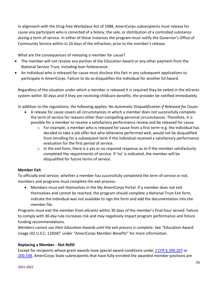In alignment with the Drug-free Workplace Act of 1988, AmeriCorps subrecipients must release for cause any participant who is convicted of a felony, the sale, or distribution of a controlled substance *during* a term of service. In either of these instances the program must notify the Governor's Office of Community Service within in 10 days of the infraction, prior to the member's release.

What are the consequences of releasing a member for cause?

- The member will not receive any portion of the Education Award or any other payment from the National Service Trust, including loan forbearance.
- An individual who is released for cause must disclose this fact in any subsequent applications to participate in AmeriCorps. Failure to do so disqualifies the individual for another Ed Award.

Regardless of the situation under which a member is released it is required they be exited in the eGrants system within 30 days and if they are receiving childcare benefits, the provider be notified immediately.

In addition to the regulations, the following applies: *No Automatic Disqualification if Released for Cause:* 

- A release for cause covers all circumstances in which a member does not successfully complete the term of service for reasons other than compelling personal circumstances. Therefore, it is possible for a member to receive a satisfactory performance review and be released for cause.
	- $\circ$  For example, a member who is released for cause from a first term–e.g. the individual has decided to take a job offer but who otherwise performed well, would not be disqualified from enrolling for a subsequent term if the individual received a satisfactory performance evaluation for the first period of service.
	- o In the exit form, there is a yes or no required response as to if the member satisfactorily completed the requirements of service. If 'no' is indicated, the member will be disqualified for future terms of service.

#### **Member Exit**

To officially end service, whether a member has successfully completed the term of service or not, members and programs must complete the exit process:

• Members must exit themselves in the My AmeriCorps Portal. If a member does not exit themselves and cannot be reached, the program should complete a National Trust Exit form, indicate the individual was not available to sign the form and add the documentation into the member file.

Programs must exit the member from eGrants within 30 days of the member's final hour served. Failure to comply with 30-day rule increases risk and may negatively impact program performance and future funding recommendations.

*Members cannot use their Education Awards until the exit process is complete.* See "Education Award Usage (42 U.S.C. 12604)" under "AmeriCorps Member Benefits" for more information.

#### **Replacing a Member - Slot Refill**

Except for recipients whose grant awards have special award conditions under [2 CFR § 200.207](https://www.ecfr.gov/cgi-bin/text-idx?SID=3b371265dd1856bdfdbd9286efce9a51&mc=true&node=se2.1.200_1207&rgn=div8) or [200.338,](https://www.ecfr.gov/cgi-bin/text-idx?SID=3b371265dd1856bdfdbd9286efce9a51&mc=true&node=se2.1.200_1338&rgn=div8) AmeriCorps State subrecipients that have fully enrolled the awarded member positions are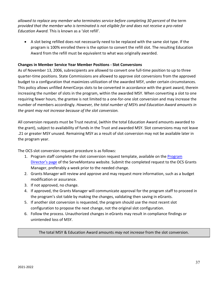allowed to replace any member who terminates service before completing 30 percent of the term *provided that the member who is terminated is not eligible for and does not receive a pro-rated Education Award.* This is known as a 'slot refill'.

• A slot being refilled does not necessarily need to be replaced with the same slot type. If the program is 100% enrolled there is the option to convert the refill slot. The resulting Education Award from the refill must be equivalent to what was originally awarded.

#### <span id="page-38-0"></span>**Changes in Member Service Year Member Positions - Slot Conversions**

As of November 13, 2006, subrecipients are allowed to convert one full-time position to up to three quarter-time positions. State Commissions are allowed to approve slot conversions from the approved budget to a configuration that maximizes utilization of the awarded MSY, under certain circumstances. This policy allows unfilled AmeriCorps slots to be converted in accordance with the grant award, therein increasing the number of slots in the program, within the awarded MSY. When converting a slot to one requiring fewer hours, the grantee is not limited to a one-for-one slot conversion and may increase the number of members accordingly. *However, the total number of MSYs and Education Award amounts in the grant may not increase because of the slot conversion.*

All conversion requests must be Trust neutral, (within the total Education Award amounts awarded to the grant), subject to availability of funds in the Trust and awarded MSY. Slot conversions may not leave .21 or greater MSY unused. Remaining MSY as a result of slot conversion may not be available later in the program year.

The OCS slot conversion request procedure is as follows:

- 1. [Program](https://serve.mt.gov/americorps/program-directors/) staff complete the slot conversion request template, available on the **Program** [Director's page](https://serve.mt.gov/americorps/program-directors/) of the ServeMontana website. Submit the completed request to the OCS Grants Manager, preferably a week prior to the needed change.
- 2. Grants Manager will review and approve and may request more information, such as a budget modification or assurance.
- 3. If not approved, no change.
- 4. If approved, the Grants Manager will communicate approval for the program staff to proceed in the program's slot table by making the changes, validating then saving in eGrants.
- 5. If another slot conversion is requested, the program should use the most recent slot configuration to propose the next change, not the original slot configuration.
- 6. Follow the process. Unauthorized changes in eGrants may result in compliance findings or unintended loss of MSY.

The total MSY & Education Award amounts *may not increase* from the slot conversion.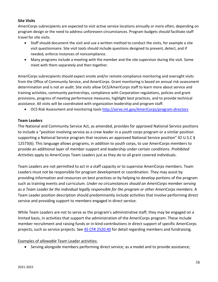#### **Site Visits**

AmeriCorps subrecipients are expected to visit active service locations annually or more often, depending on program design or the need to address unforeseen circumstances. Program budgets should facilitate staff travel for site visits.

- Staff should document the visit and use a written method to conduct the visits, for example a site visit questionnaire. Site visit tools should include questions designed to prevent, detect, and if needed, enforce instances of noncompliance.
- Many programs include a meeting with the member and the site supervisor during the visit. Some meet with them separately and then together.

AmeriCorps subrecipients should expect onsite and/or remote compliance monitoring and oversight visits from the Office of Community Service, and AmeriCorps. Grant monitoring is based on annual risk assessment determination and is not an audit. Site visits allow OCS/AmeriCorps staff to learn more about service and training activities, community partnerships, compliance with Corporation regulations, policies and grant provisions, progress of meeting performance measures, highlight best practices, and to provide technical assistance. All visits will be coordinated with organization leadership and program staff.

• OCS Risk Assessment and monitoring tools <http://serve.mt.gov/AmeriCorps/program-directors>

#### <span id="page-39-0"></span>**Team Leaders**

The National and Community Service Act, as amended, provides for approved National Service positions to include a "position involving service as a crew leader in a youth corps program or a similar position supporting a National Service program that receives an approved National Service position" 42 U.S.C § 12573(6). This language allows programs, in addition to youth corps, to use AmeriCorps members to provide an additional layer of member support and leadership under certain conditions. *Prohibited Activities* apply to AmeriCorps Team Leaders just as they do to all grant covered individuals.

Team Leaders are not permitted to act in a staff capacity or to supervise AmeriCorps members. Team Leaders must not be responsible for program development or coordination. They may assist by providing information and resources on best practices or by helping to develop portions of the program such as training events and curriculum. *Under no circumstances should an AmeriCorps member serving as a Team Leader be the individual legally responsible for the program or other AmeriCorps members.* A Team Leader position description should predominantly include activities that involve performing direct service and providing support to members engaged in direct service.

While Team Leaders are not to serve as the program's administrative staff, they may be engaged on a limited basis, in activities that support the administration of the AmeriCorps program. These include member recruitment and raising funds or in-kind contributions in direct support of specific AmeriCorps projects, such as service projects. See [45 CFR 2520.40](https://www.ecfr.gov/cgi-bin/text-idx?c=ecfr&SID=4193d25175e06a4c35ecfadf2e6252a0&rgn=div5&view=text&node=45:4.1.9.11.13&idno=45#se45.5.2520_140) for detail regarding members and fundraising.

#### Examples of *allowable* Team Leader activities:

• Serving alongside members performing direct service; as a model and to provide assistance;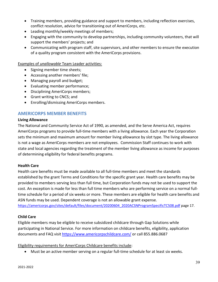- Training members, providing guidance and support to members, including reflection exercises, conflict resolution, advice for transitioning out of AmeriCorps, etc.
- Leading monthly/weekly meetings of members;
- Engaging with the community to develop partnerships, including community volunteers, that will support the members' projects; and
- Communicating with program staff, site supervisors, and other members to ensure the execution of a quality program consistent with the AmeriCorps provisions.

Examples of *unallowable* Team Leader activities:

- Signing member time sheets;
- Accessing another members' file;
- Managing payroll and budget;
- Evaluating member performance;
- Disciplining AmeriCorps members;
- Grant writing to CNCS; and
- Enrolling/dismissing AmeriCorps members.

#### <span id="page-40-0"></span>**AMERICORPS MEMBER BENEFITS**

#### **Living Allowance**

The National and Community Service Act of 1990, as amended, and the Serve America Act, requires AmeriCorps programs to provide full-time members with a living allowance. Each year the Corporation sets the minimum and maximum amount for member living allowance by slot type. The living allowance is not a wage as AmeriCorps members are not employees. Commission Staff continues to work with state and local agencies regarding the treatment of the member living allowance as income for purposes of determining eligibility for federal benefits programs.

#### **Health Care**

Health care benefits must be made available to all full-time members and meet the standards established by the grant Terms and Conditions for the specific grant year. Health care benefits may be provided to members serving less than full time, but Corporation funds may not be used to support the cost. An exception is made for less than full time members who are performing service on a normal fulltime schedule for a period of six weeks or more. These members are eligible for health care benefits and ASN funds may be used. Dependent coverage is not an allowable grant expense.

[https://americorps.gov/sites/default/files/document/20200604\\_2020ACSNProgramSpecificTC508.pdf](https://americorps.gov/sites/default/files/document/20200604_2020ACSNProgramSpecificTC508.pdf) page 17.

#### **Child Care**

Eligible members may be eligible to receive subsidized childcare through Gap Solutions while participating in National Service. For more information on childcare benefits, eligibility, application documents and FAQ visit<https://www.americorpschildcare.com/> or call 855.886.0687

#### Eligibility requirements for AmeriCorps Childcare benefits include:

• Must be an active member serving on a regular full-time schedule for at least six weeks.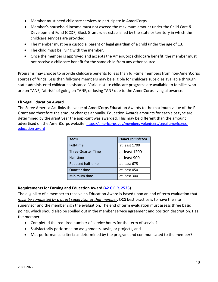- Member must need childcare services to participate in AmeriCorps.
- Member's household income must not exceed the maximum amount under the Child Care & Development Fund (CCDF) Block Grant rules established by the state or territory in which the childcare services are provided.
- The member must be a custodial parent or legal guardian of a child under the age of 13.
- The child must be living with the member.
- Once the member is approved and accepts the AmeriCorps childcare benefit, the member must not receive a childcare benefit for the same child from any other source.

Programs may choose to provide childcare benefits to less than full-time members from non-AmeriCorps sources of funds. Less than full-time members may be eligible for childcare subsidies available through state-administered childcare assistance. Various state childcare programs are available to families who are on TANF, "at risk" of going on TANF, or losing TANF due to the AmeriCorps living allowance.

#### <span id="page-41-0"></span>**Eli Segal Education Award**

The Serve America Act links the value of AmeriCorps Education Awards to the maximum value of the Pell Grant and therefore the amount changes annually. Education Awards amounts for each slot type are determined by the grant year the applicant was awarded. This may be different than the amount advertised on the AmeriCorps website. [https://americorps.gov/members-volunteers/segal-americorps](https://americorps.gov/members-volunteers/segal-americorps-education-award)[education-award](https://americorps.gov/members-volunteers/segal-americorps-education-award)

| Term                      | <b>Hours completed</b> |
|---------------------------|------------------------|
| Full-time                 | at least 1700          |
| <b>Three Quarter Time</b> | at least 1200          |
| Half time                 | at least 900           |
| Reduced half-time         | at least 675           |
| <b>Quarter time</b>       | at least 450           |
| Minimum time              | at least 300           |

#### **Requirements for Earning and Education Award [\(42 C.F.R. 2526\)](https://www.ecfr.gov/cgi-bin/text-idx?node=pt45.5.2526&rgn=div5)**

The eligibility of a member to receive an Education Award is based upon an end of term evaluation that *must be completed by a direct supervisor of that member*. OCS best practice is to have the site supervisor and the member sign the evaluation. The end of term evaluation must assess three basic points, which should also be spelled out in the member service agreement and position description. Has the member:

- Completed the required number of service hours for the term of service?
- Satisfactorily performed on assignments, tasks, or projects, and
- Met performance criteria as determined by the program and communicated to the member?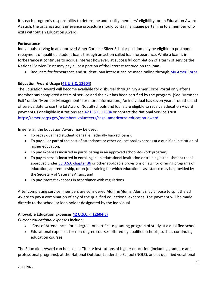It is each program's responsibility to determine and certify members' eligibility for an Education Award. As such, the organization's grievance procedure should contain language pertaining to a member who exits without an Education Award.

#### **Forbearance**

Individuals serving in an approved AmeriCorps or Silver Scholar position may be eligible to postpone repayment of qualified student loans through an action called loan forbearance. While a loan is in forbearance it continues to accrue interest however, at successful completion of a term of service the National Service Trust may pay all or a portion of the interest accrued on the loan.

• Requests for forbearance and student loan interest can be made online through [My AmeriCorps.](http://www.americorps.gov/for_individuals/current/myamericorps.asp)

#### **Education Award Usage [\(42 U.S.C. 12604\)](https://www.govinfo.gov/content/pkg/USCODE-2011-title42/pdf/USCODE-2011-title42-chap129-subchapI-divsnD-sec12604.pdf)**

The Education Award will become available for disbursal through My AmeriCorps Portal only after a member has completed a term of service and the exit has been certified by the program. (See "Member Exit" under "Member Management" for more information.) An individual has seven years from the end of service date to use the Ed Award. Not all schools and loans are eligible to receive Education Award payments. For eligible institutions se[e 42 U.S.C. 12604](https://www.govinfo.gov/content/pkg/USCODE-2011-title42/pdf/USCODE-2011-title42-chap129-subchapI-divsnD-sec12604.pdf) or contact the National Service Trust. <https://americorps.gov/members-volunteers/segal-americorps-education-award>

In general, the Education Award may be used:

- To repay qualified student loans (i.e. federally backed loans);
- To pay all or part of the cost of attendance or other educational expenses at a qualified institution of higher education;
- To pay expenses incurred in participating in an approved school-to-work program;
- To pay expenses incurred in enrolling in an educational institution or training establishment that is approved under [38 U.S.C chapter 36](https://www.govinfo.gov/content/pkg/USCODE-2010-title38/pdf/USCODE-2010-title38-partIII-chap36.pdf) or other applicable provisions of law, for offering programs of education, apprenticeship, or on-job training for which educational assistance may be provided by the Secretary of Veterans Affairs; and
- To pay interest expenses in accordance with regulations.

After completing service, members are considered Alumni/Alums. Alums may choose to split the Ed Award to pay a combination of any of the qualified educational expenses. The payment will be made directly to the school or loan holder designated by the individual.

#### **Allowable Education Expenses [42 U.S.C. § 12604\(c\)](https://www.govinfo.gov/content/pkg/USCODE-2011-title42/pdf/USCODE-2011-title42-chap129-subchapI-divsnD-sec12604.pdf)**

*Current educational expenses* include:

- "Cost of Attendance" for a degree- or certificate-granting program of study at a qualified school.
- Educational expenses for non-degree courses offered by qualified schools, such as continuing education courses.

The Education Award can be used at Title IV institutions of higher education (including graduate and professional programs), at the National Outdoor Leadership School (NOLS), and at qualified vocational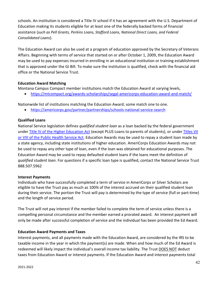schools. An institution is considered a Title IV school if it has an agreement with the U.S. Department of Education making its students eligible for at least one of the federally backed forms of financial assistance (*such as Pell Grants, Perkins Loans, Stafford Loans, National Direct Loans, and Federal Consolidated Loans*).

The Education Award can also be used at a program of education approved by the Secretary of Veterans Affairs. Beginning with terms of service that started on or after October 1, 2009, the Education Award may be used to pay expenses incurred in enrolling in an educational institution or training establishment that is approved under the GI Bill. To make sure the institution is qualified, check with the financial aid office or the National Service Trust.

#### **Education Award Matching**

Montana Campus Compact member institutions match the Education Award at varying levels,

• <https://mtcompact.org/awards-scholarships/segal-americorps-education-award-and-match/>

Nationwide list of institutions matching the Education Award; some match one to one.

• <https://americorps.gov/partner/partnerships/schools-national-service-search>

#### **Qualified Loans**

National Service legislation defines *qualified student loan* as a loan backed by the federal government under [Title IV of the Higher Education Act](https://www.govinfo.gov/content/pkg/USCODE-2010-title20/html/USCODE-2010-title20-chap28-subchapIV-partA-sec1070.htm) (except PLUS Loans to parents of students), or under [Titles VII](https://www.govinfo.gov/content/pkg/COMPS-8773/pdf/COMPS-8773.pdf)  [or VIII of the Public Health Service Act.](https://www.govinfo.gov/content/pkg/COMPS-8773/pdf/COMPS-8773.pdf) Education Awards may be used to repay a student loan made by a state agency, including state institutions of higher education. AmeriCorps Education Awards may not be used to repay any other type of loan, even if the loan was obtained for educational purposes. The Education Award may be used to repay defaulted student loans if the loans meet the definition of *qualified student loan*. For questions if a specific loan type is qualified, contact the National Service Trust 888.507.5962

#### **Interest Payments**

Individuals who have successfully completed a term of service in AmeriCorps or Silver Scholars are eligible to have the Trust pay as much as 100% of the interest accrued on their qualified student loan during their service. The portion the Trust will pay is determined by the type of service (full or part-time) and the length of service period.

The Trust will not pay interest if the member failed to complete the term of service unless there is a compelling personal circumstance and the member earned a prorated award. An interest payment will only be made after successful completion of service and the individual has been provided the Ed Award.

#### **Education Award Payments and Taxes**

Interest payments, and all payments made with the Education Award, are considered by the IRS to be taxable income in the year in which the payment(s) are made. When and how much of the Ed Award is redeemed will likely impact the individual's overall income tax liability. The Trust DOES NOT deduct taxes from Education Award or interest payments. If the Education Award and interest payments total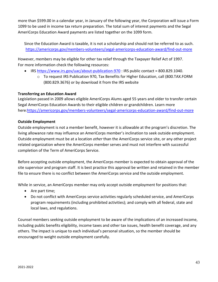more than \$599.00 in a calendar year, in January of the following year, the Corporation will issue a Form 1099 to be used in income tax return preparation. The total sum of interest payments and the Segal AmeriCorps Education Award payments are listed together on the 1099 form.

Since the Education Award is taxable, it is not a scholarship and should not be referred to as such. <https://americorps.gov/members-volunteers/segal-americorps-education-award/find-out-more>

However, members may be eligible for other tax relief through the Taxpayer Relief Act of 1997. For more information check the following resources:

- IRS<https://www.irs.gov/uac/about-publication-970> : IRS public contact = 800.829.1040.
	- $\circ$  To request IRS Publication 970, Tax Benefits for Higher Education, call (800.TAX.FORM (800.829.3676) or by download it from the IRS website

#### **Transferring an Education Award**

Legislation passed in 2009 allows eligible AmeriCorps Alums aged 55 years and older to transfer certain Segal AmeriCorps Education Awards to their eligible children or grandchildren. Learn more here[:https://americorps.gov/members-volunteers/segal-americorps-education-award/find-out-more](https://americorps.gov/members-volunteers/segal-americorps-education-award/find-out-more)

#### <span id="page-44-0"></span>**Outside Employment**

Outside employment is not a member benefit, however it is allowable at the program's discretion. The living allowance rate may influence an AmeriCorps member's inclination to seek outside employment. Outside employment must be at a location *other* than the AmeriCorps service site, or any other project related organization where the AmeriCorps member serves and must not interfere with successful completion of the Term of AmeriCorps Service.

Before accepting outside employment, the AmeriCorps member is expected to obtain approval of the site supervisor and program staff. It is best practice this approval be written and retained in the member file to ensure there is no conflict between the AmeriCorps service and the outside employment.

While in service, an AmeriCorps member may only accept outside employment for positions that:

- Are part time;
- Do not conflict with AmeriCorps service activities regularly scheduled service, and AmeriCorps program requirements (including prohibited activities); and comply with all federal, state and local laws, and regulations.

Counsel members seeking outside employment to be aware of the implications of an increased income, including public benefits eligibility, income taxes and other tax issues, health benefit coverage, and any others. The impact is unique to each individual's personal situation, so the member should be encouraged to weight outside employment carefully.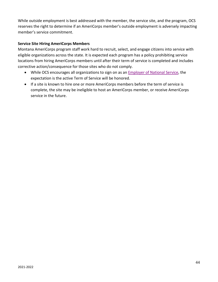While outside employment is best addressed with the member, the service site, and the program, OCS reserves the right to determine if an AmeriCorps member's outside employment is adversely impacting member's service commitment.

#### **Service Site Hiring AmeriCorps Members**

Montana AmeriCorps program staff work hard to recruit, select, and engage citizens into service with eligible organizations across the state. It is expected each program has a policy prohibiting service locations from hiring AmeriCorps members until after their term of service is completed and includes corrective action/consequence for those sites who do not comply.

- While OCS encourages all organizations to sign on as an [Employer of National Service,](https://www.nationalservice.gov/partnerships/employers-national-service) the expectation is the active Term of Service will be honored.
- If a site is known to hire one or more AmeriCorps members before the term of service is complete, the site may be ineligible to host an AmeriCorps member, or receive AmeriCorps service in the future.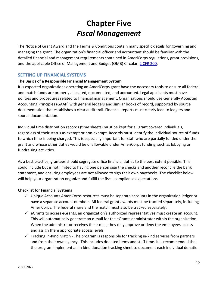# **Chapter Five** *Fiscal Management*

<span id="page-46-0"></span>The Notice of Grant Award and the Terms & Conditions contain many specific details for governing and managing the grant. The organization's financial officer and accountant should be familiar with the detailed financial and management requirements contained in AmeriCorps regulations, grant provisions, and the applicable Office of Management and Budget (OMB) Circular, 2 CFR [200.](https://www.ecfr.gov/cgi-bin/text-idx?tpl=/ecfrbrowse/Title02/2cfr200_main_02.tpl)

#### <span id="page-46-1"></span>**SETTING UP FINANCIAL SYSTEMS**

#### **The Basics of a Responsible Financial Management System**

It is expected organizations operating an AmeriCorps grant have the necessary tools to ensure all federal and match funds are properly allocated, documented, and accounted. Legal applicants must have policies and procedures related to financial management. Organizations should use Generally Accepted Accounting Principles (GAAP) with general ledgers and similar books of record, supported by source documentation that establishes a clear audit trail. Financial reports must clearly lead to ledgers and source documentation.

Individual time distribution records (time sheets) must be kept for all grant covered individuals, regardless of their status as exempt or non-exempt. Records must identify the individual source of funds to which time is being charged. This is especially important for staff who are partially funded under the grant and whose other duties would be unallowable under AmeriCorps funding, such as lobbying or fundraising activities.

As a best practice, grantees should segregate office financial duties to the best extent possible. This could include but is not limited to having one person sign the checks and another reconcile the bank statement, and ensuring employees are not allowed to sign their own paychecks. The checklist below will help your organization organize and fulfill the fiscal compliance expectations.

#### **Checklist for Financial Systems**

- $\checkmark$  Unique Accounts AmeriCorps resources must be separate accounts in the organization ledger or have a separate account numbers. All federal grant awards must be tracked separately, including AmeriCorps. The federal share and the match must also be tracked separately.
- $\checkmark$  eGrants to access eGrants, an organization's authorized representatives must create an account. This will automatically generate an e-mail for the eGrants administrator within the organization. When the administrator receives the e-mail, they may approve or deny the employees access and assign them appropriate access levels.
- $\checkmark$  Tracking In-Kind Match The program is responsible for tracking in-kind services from partners and from their own agency. This includes donated items and staff time. It is recommended that the program implement an in-kind donation tracking sheet to document each individual donation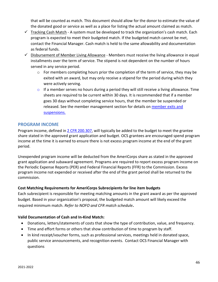that will be counted as match. This document should allow for the donor to estimate the value of the donated good or service as well as a place for listing the actual amount claimed as match.

- $\checkmark$  Tracking Cash Match A system must be developed to track the organization's cash match. Each program is expected to meet their budgeted match. If the budgeted match cannot be met, contact the Financial Manager. Cash match is held to the same allowability and documentation as federal funds.
- $\checkmark$  Disbursement of Member Living Allowance Members must receive the living allowance in equal installments over the term of service. The stipend is not dependent on the number of hours served in any service period.
	- o For members completing hours prior the completion of the term of service, they may be exited with an award, but may only receive a stipend for the period during which they were actively serving.
	- $\circ$  If a member serves no hours during a period they will still receive a living allowance. Time sheets are required to be current within 30 days. It is recommended that if a member goes 30 days without completing service hours, that the member be suspended or released. See the member management section for details on [member exits and](#page-35-0)  [suspensions.](#page-35-0)

#### <span id="page-47-0"></span>**PROGRAM INCOME**

Program income, defined in 2 [CFR 200.307,](https://www.ecfr.gov/cgi-bin/text-idx?node=pt2.1.200&rgn=div5#se2.1.200_1307) will typically be added to the budget to meet the grantee share stated in the approved grant application and budget. OCS grantees are encouraged spend program income at the time it is earned to ensure there is not excess program income at the end of the grant period.

Unexpended program income will be deducted from the AmeriCorps share as stated in the approved grant application and subaward agreement. Programs are required to report excess program income on the Periodic Expense Reports (PER) and Federal Financial Reports (FFR) to the Commission. Excess program income not expended or received after the end of the grant period shall be returned to the commission.

#### **Cost Matching Requirements for AmeriCorps Subrecipients for line item budgets**

Each subrecipient is responsible for meeting matching amounts in the grant award as per the approved budget. Based in your organization's proposal, the budgeted match amount will likely exceed the required minimum match. *Refer to NOFO and CFR match schedule***.**

#### **Valid Documentation of Cash and In-Kind Match:**

- Donations, letters/statements of costs that show the type of contribution, value, and frequency.
- Time and effort forms or others that show contribution of time to program by staff.
- In kind receipt/voucher forms, such as professional services, meetings held in donated space, public service announcements, and recognition events. Contact OCS Financial Manager with questions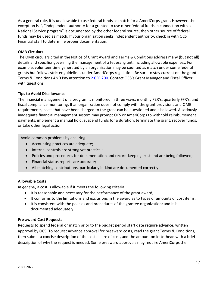As a general rule, it is unallowable to use federal funds as match for a AmeriCorps grant. However, the exception is if, "independent authority for a grantee to use other federal funds in connection with a National Service program" is documented by the other federal source, then other source of federal funds may be used as match. If your organization seeks independent authority, check in with OCS Financial staff to determine proper documentation.

#### **OMB Circulars**

The OMB circulars cited in the Notice of Grant Award and Terms & Conditions address many (but not all) details and specifics governing the management of a federal grant, including allowable expenses. For example, volunteer time generated by an organization may be counted as match under some federal grants but follows stricter guidelines under AmeriCorps regulation. Be sure to stay current on the grant's Terms & Conditions AND Pay attention to 2 CFR [200.](https://www.ecfr.gov/cgi-bin/text-idx?tpl=/ecfrbrowse/Title02/2cfr200_main_02.tpl) Contact OCS's Grant Manager and Fiscal Officer with questions.

#### **Tips to Avoid Disallowance**

The financial management of a program is monitored in three ways: monthly PER's, quarterly FFR's, and fiscal compliance monitoring. If an organization does not comply with the grant provisions and OMB requirements, costs that have been charged to the grant can be questioned and disallowed. A seriously inadequate financial management system may prompt OCS or AmeriCorps to withhold reimbursement payments, implement a manual hold, suspend funds for a duration, terminate the grant, recover funds, or take other legal action.

Avoid common problems by ensuring:

- Accounting practices are adequate;
- Internal controls are strong yet practical;
- Policies and procedures for documentation and record-keeping exist and are being followed;
- Financial status reports are accurate;
- All matching contributions, particularly in-kind are documented correctly.

#### **Allowable Costs**

*In general,* a cost is allowable if it meets the following criteria:

- It is reasonable and necessary for the performance of the grant award;
- It conforms to the limitations and exclusions in the award as to types or amounts of cost items;
- It is consistent with the policies and procedures of the grantee organization; and it is documented adequately.

#### **Pre-award Cost Requests**

Requests to spend federal or match prior to the budget period start date require advance, written approval by OCS. To request advance approval for preaward costs, read the grant Terms & Conditions, then submit a concise description of the cost, share of cost, and the amount on letterhead with a brief description of why the request is needed. Some preaward approvals may require AmeriCorps the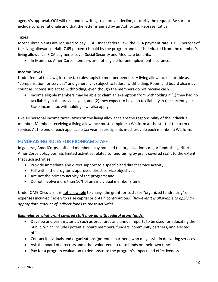agency's approval. OCS will respond in writing to approve, decline, or clarify the request. Be sure to include concise rationale and that the letter is signed by an Authorized Representative.

#### **Taxes**

Most subrecipients are required to pay FICA. Under federal law, the FICA payment rate is 15.3 percent of the living allowance. Half (7.65 percent) is paid by the program and half is deducted from the member's living allowance. FICA payments cover Social Security and Medicare benefits.

• In Montana, AmeriCorps members are not eligible for unemployment insurance.

#### **Income Taxes**

Under federal tax laws, income tax rules apply to member benefits. A living allowance is taxable as "compensation for services" and generally is subject to federal withholding. Room and board also may count as income subject to withholding, even though the members do not receive cash.

• Income eligible members may be able to claim an exemption from withholding if (1) they had no tax liability in the previous year, and (2) they expect to have no tax liability in the current year. State income tax withholding laws also apply.

Like all personal income taxes, taxes on the living allowance are the responsibility of the individual member. Members receiving a living allowance must complete a W4 form at the start of the term of service. At the end of each applicable tax year, subrecipients must provide each member a W2 form.

#### <span id="page-49-0"></span>**FUNDRAISING RULES FOR PROGRAM STAFF**

In general, AmeriCorps staff and members may not lead the organization's major fundraising efforts. AmeriCorps policy permits limited activities related to fundraising by grant covered staff, to the extent that such activities:

- Provide immediate and direct support to a specific and direct service activity;
- Fall within the program's approved direct service objectives;
- Are not the primary activity of the program; and
- Do not involve more than 10% of any individual member's time.

Under OMB Circulars it is not allowable to charge the grant for costs for "organized fundraising" or expenses incurred "solely to raise capital or obtain contributions" (*however it is allowable to apply an appropriate amount of indirect funds to these activities*).

#### *Examples of what grant covered staff may do with federal grant funds:*

- Develop and print materials such as brochures and annual reports to be used for educating the public, which includes potential board members, funders, community partners, and elected officials.
- Contact individuals and organizations (potential partners) who may assist in delivering services.
- Ask the board of directors and other volunteers to raise funds on their own time.
- Pay for a program evaluation to demonstrate the program's impact and effectiveness.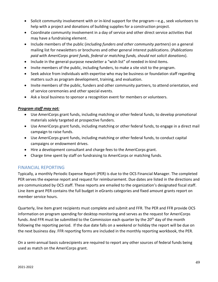- Solicit community involvement with or in-kind support for the program—e.g., seek volunteers to help with a project and donations of building supplies for a construction project.
- Coordinate community involvement in a day of service and other direct service activities that may have a fundraising element.
- Include members of the public (*including funders and other community partners*) on a general mailing list for newsletters or brochures and other general interest publications. (*Publications paid with AmeriCorps grant funds, federal or matching funds, should not solicit donations*).
- Include in the general-purpose newsletter a "wish list" of needed in-kind items.
- Invite members of the public, including funders, to make a site visit to the program.
- Seek advice from individuals with expertise who may be business or foundation staff regarding matters such as program development, training, and evaluation.
- Invite members of the public, funders and other community partners, to attend orientation, end of service ceremonies and other special events.
- Ask a local business to sponsor a recognition event for members or volunteers.

#### *Program staff may not:*

- Use AmeriCorps grant funds, including matching or other federal funds, to develop promotional materials solely targeted at prospective funders.
- Use AmeriCorps grant funds, including matching or other federal funds, to engage in a direct mail campaign to raise funds.
- Use AmeriCorps grant funds, including matching or other federal funds, to conduct capital campaigns or endowment drives.
- Hire a development consultant and charge fees to the AmeriCorps grant.
- Charge time spent by staff on fundraising to AmeriCorps or matching funds.

#### <span id="page-50-0"></span>FINANCIAL REPORTING

Typically, a monthly Periodic Expense Report (PER) is due to the OCS Financial Manager. The completed PER serves the expense report and request for reimbursement. Due dates are listed in the directions and are communicated by OCS staff. These reports are emailed to the organization's designated fiscal staff. Line item grant PER contains the full budget in eGrants categories and fixed amount grants report on member service hours.

Quarterly, line item grant recipients must complete and submit and FFR. The PER and FFR provide OCS information on program spending for desktop monitoring and serves as the request for AmeriCorps funds. And FFR must be submitted to the Commission each quarter by the  $20<sup>th</sup>$  day of the month following the reporting period. If the due date falls on a weekend or holiday the report will be due on the next business day. FFR reporting forms are included in the monthly reporting workbook, the PER.

On a semi-annual basis subrecipients are required to report any other sources of federal funds being used as match on the AmeriCorps grant.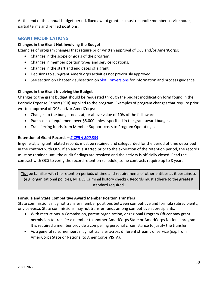At the end of the annual budget period, fixed award grantees must reconcile member service hours, partial terms and refilled positions.

#### <span id="page-51-0"></span>**GRANT MODIFICATIONS**

#### **Changes in the Grant Not Involving the Budget**

Examples of program changes that require prior written approval of OCS and/or AmeriCorps:

- Changes in the scope or goals of the program.
- Changes in member position types and service locations.
- Changes in the start and end dates of a grant.
- Decisions to sub-grant AmeriCorps activities not previously approved.
- See section on Chapter 2 subsection on **Slot Conversions** for information and process guidance.

#### **Changes in the Grant Involving the Budget**

Changes to the grant budget should be requested through the budget modification form found in the Periodic Expense Report (PER) supplied to the program. Examples of program changes that require prior written approval of OCS and/or AmeriCorps:

- Changes to the budget near, at, or above value of 10% of the full award.
- Purchases of equipment over \$5,000 unless specified in the grant award budget.
- Transferring funds from Member Support costs to Program Operating costs.

#### **Retention of Grant Records –** *2 CFR § [200.334](https://www.govinfo.gov/content/pkg/CFR-2014-title2-vol1/pdf/CFR-2014-title2-vol1-sec200-334.pdf)*

In general, all grant related records must be retained and safeguarded for the period of time described in the contract with OCS. If an audit is started prior to the expiration of the retention period, the records must be retained until the audit findings are resolved and the activity is officially closed. Read the contract with OCS to verify the record retention schedule; some contracts require up to 8 years!

**Tip:** be familiar with the retention periods of time and requirements of other entities as it pertains to (e.g. organizational policies, MTDOJ Criminal history checks). Records must adhere to the greatest standard required.

#### **Formula and State Competitive Award Member Position Transfers**

State commissions may not transfer member positions between competitive and formula subrecipients, or vice-versa. State commissions may not transfer funds among competitive subrecipients.

- With restrictions, a Commission, parent organization, or regional Program Officer may grant permission to transfer a member to another AmeriCorps State or AmeriCorps National program. It is required a member provide a compelling personal circumstance to justify the transfer.
- As a general rule, members may not transfer across different streams of service (e.g. from AmeriCorps State or National to AmeriCorps VISTA).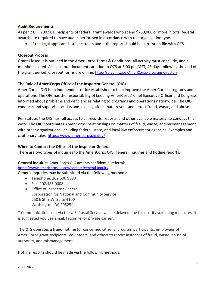#### **Audit Requirements**

As per 2 [CFR 200.501,](https://www.ecfr.gov/cgi-bin/text-idx?node=sp2.1.200.f#se2.1.200_1501) recipients of federal grant awards who spend \$750,000 or more in total federal awards are required to have audits performed in accordance with the organization type.

• If the legal applicant is subject to an audit, the report should be current on file with OCS.

#### **Closeout Process**

Grant Closeout is outlined in the AmeriCorps Terms & Conditions. All activity must conclude, and all members exited. All close-out documents are due to OCS at 5:00 pm MST, 45 days following the end of the grant period. Closeout forms are online: http://serve.mt.gov/AmeriCorps/program-directors

#### **The Role of AmeriCorps Office of the Inspector General (OIG)**

AmeriCorps' OIG is an independent office established to help improve the AmeriCorps' programs and operations. The OIG has the responsibility of keeping AmeriCorps' Chief Executive Officer and Congress informed about problems and deficiencies relating to programs and operations nationwide. The OIG conducts and supervises audits and investigations that prevent and detect fraud, waste, and abuse.

Per statute, the OIG has full access to all records, reports, and other available material to conduct this work. The OIG coordinates AmeriCorps' relationships on matters of fraud, waste, and mismanagement with other organizations, including federal, state, and local law enforcement agencies. Examples and cautionary tales: <https://www.americorpsoig.gov/>

#### **When to Contact the Office of the Inspector General**

There are two types of inquiries to the AmeriCorps OIG: general inquiries and hotline reports.

#### **General Inquiries** AmeriCorps OIG accepts confidential referrals,

<https://www.americorpsoig.gov/contact/general-inquiry> General inquiries may be submitted via the following methods:

- Telephone: 202.606.9390
- Fax: 202.485.0008
- Office of Inspector General Corporation for National and Community Service 250 E St. S.W. Suite 4100 Washington, DC 20525\*

\* Communication sent via the U.S. Postal Service will be delayed due to security screening measures. It is suggested you use email, facsimile, or private carrier.

**The OIG operates a fraud hotline** for concerned citizens, program participants, employees of AmeriCorps grant recipients, Volunteers, and others to report instances of fraud, waste, abuse of authority, and mismanagement.

Hotline reports should be made via the following methods: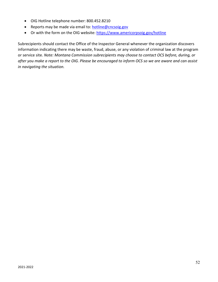- OIG Hotline telephone number: 800.452.8210
- Reports may be made via email to: [hotline@cncsoig.gov](mailto:hotline@cncsoig.gov)
- Or with the form on the OIG website:<https://www.americorpsoig.gov/hotline>

Subrecipients should contact the Office of the Inspector General whenever the organization discovers information indicating there may be waste, fraud, abuse, or any violation of criminal law at the program or service site. *Note: Montana Commission subrecipients may choose to contact OCS before, during, or after you make a report to the OIG. Please be encouraged to inform OCS so we are aware and can assist in navigating the situation.*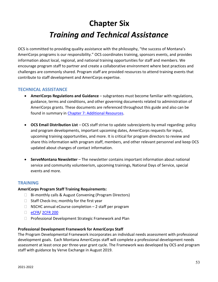# **Chapter Six** *Training and Technical Assistance*

<span id="page-54-0"></span>OCS is committed to providing quality assistance with the philosophy, "the success of Montana's AmeriCorps programs is our responsibility." OCS coordinates training, sponsors events, and provides information about local, regional, and national training opportunities for staff and members. We encourage program staff to partner and create a collaborative environment where best practices and challenges are commonly shared. Program staff are provided resources to attend training events that contribute to staff development and AmeriCorps expertise.

#### **TECHNICAL ASSISTANCE**

- **AmeriCorps Regulations and Guidance** subgrantees must become familiar with regulations, guidance, terms and conditions, and other governing documents related to administration of AmeriCorps grants. These documents are referenced throughout this guide and also can be found in summary in Chapter 7: [Additional Resources.](#page-57-1)
- **OCS Email Distribution List**  OCS staff strive to update subrecipients by email regarding: policy and program developments, important upcoming dates, AmeriCorps requests for input, upcoming training opportunities, and more. It is critical for program directors to review and share this information with program staff, members, and other relevant personnel and keep OCS updated about changes of contact information.
- **ServeMontana Newsletter**  The newsletter contains important information about national service and community volunteerism, upcoming trainings, National Days of Service, special events and more.

#### **TRAINING**

#### **AmeriCorps Program Staff Training Requirements:**

- $\Box$  Bi-monthly calls & August Convening (Program Directors)
- $\Box$  Staff Check-Ins; monthly for the first year
- $\Box$  NSCHC annual eCourse completion 2 staff per program
- □ [eCFR/](https://www.ecfr.gov/cgi-bin/ECFR?page=browse) 2CFR 200
- □ Professional Development Strategic Framework and Plan

#### **Professional Development Framework for AmeriCorps Staff**

The Program Developmental Framework incorporates an individual needs assessment with professional development goals. Each Montana AmeriCorps staff will complete a professional development needs assessment at least once per three-year grant cycle. The Framework was developed by OCS and program staff with guidance by Verve Exchange in August 2019.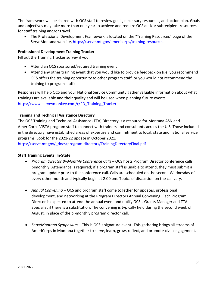The framework will be shared with OCS staff to review goals, necessary resources, and action plan. Goals and objectives may take more than one year to achieve and require OCS and/or subrecipient resources for staff training and/or travel.

• The Professional Development Framework is located on the "Training Resources" page of the ServeMontana website, [https://serve.mt.gov/americorps/training-resources.](https://serve.mt.gov/americorps/training-resources)

#### <span id="page-55-2"></span>**Professional Development Training Tracker**

Fill out the Training Tracker survey if you:

- Attend an OCS sponsored/required training event
- Attend any other training event that you would like to provide feedback on (i.e. you recommend OCS offers the training opportunity to other program staff, or you would *not* recommend the training to program staff)

Responses will help OCS and your National Service Community gather valuable information about what trainings are available and their quality and will be used when planning future events. [https://www.surveymonkey.com/r/PD\\_Training\\_Tracker](https://www.surveymonkey.com/r/PD_Training_Tracker)

#### <span id="page-55-0"></span>**Training and Technical Assistance Directory**

The OCS Training and Technical Assistance (TTA) Directory is a resource for Montana ASN and AmeriCorps VISTA program staff to connect with trainers and consultants across the U.S. Those included in the directory have established areas of expertise and commitment to local, state and national service programs. Look for the 2021-22 update in October 2021.

[https://serve.mt.gov/\\_docs/program-directors/TrainingDirectoryFinal.pdf](https://serve.mt.gov/_docs/program-directors/TrainingDirectoryFinal.pdf)

#### <span id="page-55-1"></span>**Staff Training Events: In-State**

- *Program Director Bi-Monthly Conference Calls* OCS hosts Program Director conference calls bimonthly. Attendance is required; if a program staff is unable to attend, they must submit a program update prior to the conference call. Calls are scheduled on the second Wednesday of every other month and typically begin at 2:00 pm. Topics of discussion on the call vary.
- *Annual Convening –* OCS and program staff come together for updates, professional development, and networking at the Program Directors Annual Convening. Each Program Director is expected to attend the annual event and notify OCS's Grants Manager and TTA Specialist if there is a substitution. The convening is typically held during the second week of August, in place of the bi-monthly program director call.
- *ServeMontana Symposium* This is OCS's signature event! This gathering brings all streams of AmeriCorps in Montana together to serve, learn, grow, reflect, and promote civic engagement.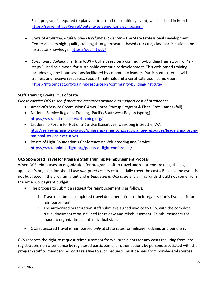Each program is required to plan and to attend this multiday event, which is held in March <https://serve.mt.gov/ServeMontana/servemontana-symposium>

- *State of Montana, Professional Development Center* The State Professional Development Center delivers high-quality training through research-based curricula, class participation, and instructor knowledge. <https://pdc.mt.gov/>
- *Community Building Institute (CBI)* CBI is based on a community-building framework, or "six steps," used as a model for sustainable community development. This web-based training includes six, one-hour sessions facilitated by community leaders. Participants interact with trainers and receive resources, support materials and a certificate upon completion. <https://mtcompact.org/training-resources-2/community-building-institute/>

#### **Staff Training Events: Out of State**

*Please contact OCS to see if there are resources available to support cost of attendance.* 

- America's Service Commissions' AmeriCorps Startup Program & Fiscal Boot Camps (fall)
- National Service Regional Training, Pacific/Southwest Region (spring) <https://www.nationalservicetraining.org/>
- Leadership Forum for National Service Executives, weeklong in Seattle, WA [http://servewashington.wa.gov/programs/americorps/subgrantee-resources/leadership-forum](http://servewashington.wa.gov/programs/americorps/subgrantee-resources/leadership-forum-national-service-executives)[national-service-executives](http://servewashington.wa.gov/programs/americorps/subgrantee-resources/leadership-forum-national-service-executives)
- Points of Light Foundation's Conference on Volunteering and Service <https://www.pointsoflight.org/points-of-light-conference/>

#### **OCS Sponsored Travel for Program Staff Training: Reimbursement Process**

When OCS reimburses an organization for program staff to travel and/or attend training, the legal applicant's organization should use *non-grant resources* to initially cover the costs. Because the event is not budgeted in the program grant and *is budgeted in OCS grants*, training funds should not come from the AmeriCorps grant budget.

- The process to submit a request for reimbursement is as follows:
	- 1. Traveler submits completed travel documentation to their organization's fiscal staff for reimbursement.
	- 2. The authorized organization staff submits a signed invoice to OCS, with the complete travel documentation included for review and reimbursement. Reimbursements are made to organizations, not individual staff.
- OCS sponsored travel is reimbursed *only* at state rates for mileage, lodging, and per diem.

OCS reserves the right to request reimbursement from subrecipients for any costs resulting from late registration, non-attendance by registered participants, or other actions by persons associated with the program staff or members. All costs relative to such requests must be paid from non-federal sources.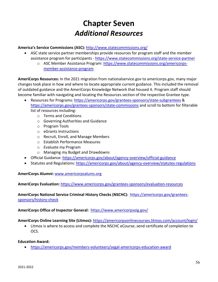# **Chapter Seven** *Additional Resources*

<span id="page-57-0"></span>**America's Service Commissions (ASC):** <http://www.statecommissions.org/>

- ASC state service partner memberships provide resources for program staff and the member assistance program for participants - <https://www.statecommissions.org/state-service-partner>
	- o ASC Member Assistance Program: [https://www.statecommissions.org/americorps](https://www.statecommissions.org/americorps-member-assistance-program)[member-assistance-program](https://www.statecommissions.org/americorps-member-assistance-program)

<span id="page-57-1"></span>**AmeriCorps Resources:** In the 2021 migration from nationalservice.gov to americorps.gov, many major changes took place in how and where to locate appropriate current guidance. This included the removal of outdated guidance and the AmeriCorps Knowledge Network that housed it. Program staff should become familiar with navigating and locating the Resources section of the respective Grantee type.

- Resources for Programs:<https://americorps.gov/grantees-sponsors/state-subgrantees> & <https://americorps.gov/grantees-sponsors/state-commissions> and scroll to bottom for filterable list of resources including:
	- o Terms and Conditions
	- o Governing Authorities and Guidance
	- o Program Tools
	- o eGrants Instructions
	- o Recruit, Enroll, and Manage Members
	- o Establish Performance Measures
	- o Evaluate my Program
	- o Managing my Budget and Drawdowns
- Official Guidance:<https://americorps.gov/about/agency-overview/official-guidance>
- Statutes and Regulations:<https://americorps.gov/about/agency-overview/statutes-regulations>

**AmeriCorps Alumni:** [www.americorpsalums.org](http://www.americorpsalums.org/)

**AmeriCorps Evaluation:** <https://www.americorps.gov/grantees-sponsors/evaluation-resources>

**AmeriCorps National Service Criminal History Checks (NSCHC):** [https://americorps.gov/grantees](https://americorps.gov/grantees-sponsors/history-check)[sponsors/history-check](https://americorps.gov/grantees-sponsors/history-check)

#### **AmeriCorps Office of Inspector General:** <https://www.americorpsoig.gov/>

#### **AmeriCorps Online Learning Site (Litmos):** <https://americorpsonlinecourses.litmos.com/account/login/>

• Litmos is where to access and complete the NSCHC eCourse; send certificate of completion to OCS.

#### **Education Award:**

• <https://americorps.gov/members-volunteers/segal-americorps-education-award>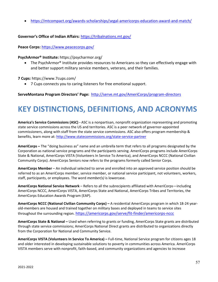• <https://mtcompact.org/awards-scholarships/segal-americorps-education-award-and-match/>

#### **Governor's Office of Indian Affairs:** <https://tribalnations.mt.gov/>

**Peace Corps:** <https://www.peacecorps.gov/>

#### **PsychArmor® Institute:** <https://psycharmor.org/>

• The PsychArmor® Institute provides resources to Americans so they can effectively engage with and better support military service members, veterans, and their families.

#### **7 Cups:** <https://www.7cups.com/>

• 7 Cups connects you to caring listeners for free emotional support.

**ServeMontana Program Directors' Page:** <http://serve.mt.gov/AmeriCorps/program-directors>

# <span id="page-58-0"></span>**KEY DISTINCTIONS, DEFINITIONS, AND ACRONYMS**

**America's Service Commissions (ASC) -** ASC is a nonpartisan, nonprofit organization representing and promoting state service commissions across the US and territories. ASC is a peer network of governor-appointed commissioners, along with staff from the state service commissions. ASC also offers program membership & benefits, learn more at:<http://www.statecommissions.org/state-service-partner>

**AmeriCorps –** The "doing business as" name and an umbrella term that refers to all programs designated by the Corporation as national service programs and the participants serving. AmeriCorps programs include AmeriCorps State & National, AmeriCorps VISTA (Volunteers In Service To America), and AmeriCorps NCCC (National Civilian Community Corps). AmeriCorps Seniors now refers to the programs formerly called Senior Corps.

**AmeriCorps Member** – An individual selected to serve and enrolled into an approved service position should be referred to as an AmeriCorps member, service member, or national service participant, not volunteers, workers, staff, participants, or employees. The word *member(s)* is lowercase.

**AmeriCorps National Service Network** – Refers to all the subrecipients affiliated with AmeriCorps—including AmeriCorps NCCC, AmeriCorps VISTA, AmeriCorps State and National, AmeriCorps Tribes and Territories, the AmeriCorps Education Awards Program (EAP).

**AmeriCorps NCCC (National Civilian Community Corps) –** A residential AmeriCorps program in which 18-24 yearold-members are housed and trained together on military bases and deployed in teams to service sites throughout the surrounding region.<https://americorps.gov/serve/fit-finder/americorps-nccc>

**AmeriCorps State & National –** Used when referring to grants or funding, AmeriCorps State grants are distributed through state service commissions; AmeriCorps National Direct grants are distributed to organizations directly from the Corporation for National and Community Service.

**AmeriCorps VISTA (Volunteers In Service To America) –** Full-time, National Service program for citizens ages 18 and older interested in developing sustainable solutions to poverty in communities across America. AmeriCorps VISTA members serve with nonprofit, faith-based, and community organizations and agencies to increase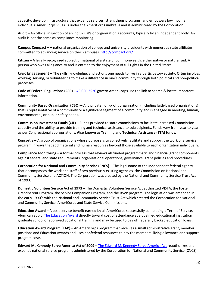capacity, develop infrastructure that expands services, strengthens programs, and empowers low income individuals. AmeriCorps VISTA is under the AmeriCorps umbrella and is administered by the Corporation.

**Audit –** An official inspection of an individual's or organization's accounts, typically by an independent body. An audit is not the same as compliance monitoring.

**Campus Compact –** A national organization of college and university presidents with numerous state affiliates committed to advancing service on their campuses.<http://compact.org/>

**Citizen –** A legally recognized subject or national of a state or commonwealth, either native or naturalized. A person who owes allegiance to and is entitled to the enjoyment of full rights in the United States.

**Civic Engagement –** The skills, knowledge, and actions one needs to live in a participatory society. Often involves working, serving, or volunteering to make a difference in one's community through both political and non-political processes.

**Code of Federal Regulations (CFR) –** [45 CFR 2520](https://www.ecfr.gov/cgi-bin/text-idx?SID=52ce1e7e6ec32b04bf3a9b3befee7370&mc=true&node=pt45.5.2520&rgn=div5) govern AmeriCorps use the link to search & locate important information.

**Community Based Organization (CBO) –** Any private non-profit organization (including faith-based organizations) that is representative of a community or a significant segment of a community and is engaged in meeting, human, environmental, or public safety needs.

**Commission Investment Funds (CIF) –** Funds provided to state commissions to facilitate increased Commission capacity and the ability to provide training and technical assistance to subrecipients. Funds vary from year to year as per Congressional appropriations. **Also known as Training and Technical Assistance (TTA) funds.**

**Consortia –** A group of organizations whose purpose is to collectively facilitate and support the work of a service program in ways that add material and human resources beyond those available to each organization individually.

**Compliance Monitoring –** A formal process that reviews all funded programmatic and financial grant components against federal and state requirements, organizational operations, governance, grant policies and procedures.

**Corporation for National and Community Service (CNCS) –** The legal name of the independent federal agency that encompasses the work and staff of two previously existing agencies, the Commission on National and Community Service and ACTION. The Corporation was created by the National and Community Service Trust Act of 1993.

**Domestic Volunteer Service Act of 1973 –** The Domestic Volunteer Service Act authorized VISTA, the Foster Grandparent Program, the Senior Companion Program, and the RSVP program. The legislation was amended in the early 1990's with the National and Community Service Trust Act which created the Corporation for National and Community Service, AmeriCorps and State Service Commissions.

**Education Award –** A post-service benefit earned by all AmeriCorps successfully completing a Term of Service. Alum can apply [The Education](https://americorps.gov/members-volunteers/segal-americorps-education-award) Award directly toward cost of attendance at a qualified educational institution graduate school or approved vocational training and may be used to pay off federally backed education loans.

**Education Award Program (EAP) –** An AmeriCorps program that receives a small administrative grant, member positions and Education Awards and uses nonfederal resources to pay the members' living allowance and support program costs.

**Edward M. Kennedy Serve America Act of 2009 –** [The Edward M. Kennedy Serve America Act](https://americorps.gov/newsroom/press-releases/2009/highlights-edward-m-kennedy-serve-america-act) reauthorizes and expands national service programs administered by the Corporation for National and Community Service (CNCS)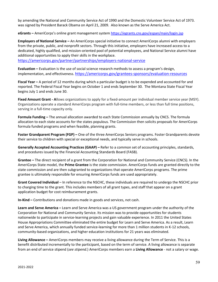by amending the National and Community Service Act of 1990 and the Domestic Volunteer Service Act of 1973. was signed by President Barack Obama on April 21, 2009. Also known as the Serve America Act.

**eGrants –** AmeriCorps's online grant management syste[m https://egrants.cns.gov/espan/main/login.jsp](https://egrants.cns.gov/espan/main/login.jsp)

**Employers of National Service –** An AmeriCorps special initiative to connect AmeriCorps alumni with employers from the private, public, and nonprofit sectors. Through this initiative, employers have increased access to a dedicated, highly qualified, and mission-oriented pool of potential employees, and National Service alumni have additional opportunities to apply their skills in the workplace.

<https://americorps.gov/partner/partnerships/employers-national-service>

**Evaluation –** Evaluation is the use of social science research methods to assess a program's design, implementation, and effectiveness.<https://americorps.gov/grantees-sponsors/evaluation-resources>

**Fiscal Year –** A period of 12 months during which a particular budget is to be expended and accounted for and reported. The Federal Fiscal Year begins on October 1 and ends September 30. The Montana State Fiscal Year begins July 1 and ends June 30.

**Fixed Amount Grant - A**llows organizations to apply for a fixed-amount per individual member service year (MSY). Organizations operate a standard AmeriCorps program with full-time members, or less than full time positions, serving in a full-time capacity only.

**Formula Funding –** The annual allocation awarded to each State Commission annually by CNCS. The formula allocation to each state accounts for the states populous. The Commission then solicits proposals for AmeriCorps formula funded programs and when feasible, planning grants.

**Foster Grandparent Program (FGP) –** One of the three AmeriCorps Seniors programs. Foster Grandparents devote their service to children with special or exceptional needs, and typically serve in schools.

**Generally Accepted Accounting Practices (GAAP) –** Refer to a common set of accounting principles, standards, and procedures issued by the Financial Accounting Standards Board (FASB).

**Grantee –** The direct recipient of a grant from the Corporation for National and Community Service (CNCS). In the AmeriCorps State model, the **Prime Grantee** is the state commission. AmeriCorps funds are granted directly to the state commission and are then subgranted to organizations that operate AmeriCorps programs. The prime grantee is ultimately responsible for ensuring AmeriCorps funds are used appropriately.

**Grant Covered Individual** – In reference to the NSCHC, these individuals are required to undergo the NSCHC prior to charging time to the grant. This includes members of all grant types, and staff that appear on a grant application budget for cost reimbursement grants.

**In-Kind –** Contributions and donations made in goods and services, not cash.

**Learn and Serve America –** Learn and Serve America was a US government program under the authority of the Corporation for National and Community Service. Its mission was to provide opportunities for students nationwide to participate in service-learning projects and gain valuable experience. In 2011 the United States House Appropriations Committee eliminated the entire budget for Learn and Serve America. As a result, Learn and Serve America, which annually funded service-learning for more than 1 million students in K-12 schools, community-based organizations, and higher education institutions for 21 years was eliminated.

**Living Allowance –** AmeriCorps members may receive a living allowance during the Term of Service. This is a benefit distributed incrementally to the participant, based on the term of service. A living allowance is separate from an end of service stipend (*see stipend.*) AmeriCorps members earn a **Living Allowance** - not a salary or wage.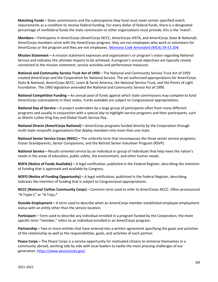**Matching Funds –** State commissions and the subrecipients they fund must meet certain specified match requirements as a condition to receive federal funding. For every dollar of federal funds, there is a designated percentage of nonfederal funds the state commission or other organizations must provide, this is the 'match'.

**Members –** Participants in AmeriCorps (AmeriCorps NCCC, AmeriCorps VISTA, and AmeriCorps State & National). AmeriCorps members *serve* with the AmeriCorps program; they are not employees who work or volunteers for AmeriCorps or the program and they are not employees. *[Montana Code Annotated \(MCA\) 39-51-204.](https://leg.mt.gov/bills/mca/title_0390/chapter_0510/part_0020/section_0040/0390-0510-0020-0040.html)* 

**Mission Statement –** A mission statement expresses and organization's or program's vision regarding National Service and indicates the ultimate impacts to be achieved. A program's annual objectives are typically closely connected to the mission statement, service activities and performance measures.

**National and Community Service Trust Act of 1993 –** The National and Community Service Trust Act of 1993 created AmeriCorps and the Corporation for National Service. The act authorized appropriations for AmeriCorps State & National, AmeriCorps NCCC, Learn & Serve America, the National Service Trust, and the Points of Light Foundation. The 1993 legislation amended the National and Community Service Act of 1990.

**National Competitive Funding –** An annual pool of funds against which state commissions may compete to fund AmeriCorps subrecipients in their states. Funds available are subject to Congressional appropriations.

**National Day of Service –** A project undertaken by a large group of participants often from many different programs and usually in conjunction with a special day to highlight service programs and their participants, such as Martin Luther King Day and Global Youth Service Day.

**National Directs (AmeriCorps National) –** AmeriCorps programs funded directly by the Corporation through multi-state nonprofit organizations that deploy members into more than one state.

**National Senior Service Corps (NSSC) –** The umbrella term that encompasses the three senior service programs: Foster Grandparents, Senior Companions, and the Retired Senior Volunteer Program (RSVP).

**National Service –** Results-oriented service by an individual or group of individuals that help meet the nation's needs in the areas of education, public safety, the environment, and other human needs.

**NOFA (Notice of Funds Available) –** A legal notification, published in the Federal Register, describing the intention of funding that is approved and available by Congress.

**NOFO (Notice of Funding Opportunity) –** A legal notification, published in the Federal Register, describing indicates the intention of funding that is subject to Congressional appropriations.

**NCCC (National Civilian Community Corps) –** Common term used to refer to AmeriCorps NCCC. Often pronounced "N Triple C" or "N Trips**."**

**Outside Employment –** A term used to describe when an AmeriCorps member established employee employment status with an entity other than the service location.

**Participant** – Term used to describe any individual enrolled in a program funded by the Corporation; the more specific term "member," refers to an individual enrolled in an AmeriCorps program.

**Partnership –** Two or more entities that have entered into a written agreement specifying the goals and activities of the relationship as well as the responsibilities, goals, and activities of each partner.

**Peace Corps –** The Peace Corps is a service opportunity for motivated citizens to immerse themselves in a community abroad, working side by side with local leaders to tackle the most pressing challenges of our generation[. https://www.peacecorps.gov/](https://www.peacecorps.gov/)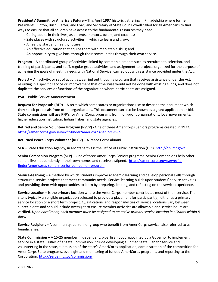**Presidents' Summit for America's Future –** This April 1997 historic gathering in Philadelphia where former Presidents Clinton, Bush, Carter, and Ford, and Secretary of State Colin Powell called for all Americans to find ways to ensure that all children have access to the fundamental resources they need:

- Caring adults in their lives, as parents, mentors, tutors, and coaches;
- Safe places with structured activities in which to learn and grow;
- A healthy start and healthy future;
- An effective education that equips them with marketable skills; and
- An opportunity to give back through their communities through their own service.

**Program –** A coordinated group of activities linked by common elements such as recruitment, selection, and training of participants, and staff, regular group activities, and assignment to projects organized for the purpose of achieving the goals of meeting needs with National Service; carried out with assistance provided under the Act.

**Project –** An activity, or set of activities, carried out though a program that receives assistance under the Act, resulting in a specific service or improvement that otherwise would not be done with existing funds, and does not duplicate the services or functions of the organization where participants are assigned.

**PSA –** Public Service Announcement.

**Request for Proposals (RFP) –** A term which some states or organizations use to describe the document which they solicit proposals from other organizations. This document can also be known as a grant application or bid. State commissions will use RFP's for AmeriCorps programs from non-profit organizations, local governments, higher education institution, Indian Tribes, and state agencies.

**Retired and Senior Volunteer Program (RSVP) -** One of three AmeriCorps Seniors programs created in 1972. <https://americorps.gov/serve/fit-finder/americorps-seniors-rsvp>

**Returned Peace Corps Volunteer (RPCV) –** A Peace Corps alumni.

**SEA –** State Education Agency, in Montana this is the Office of Public Instruction (OPI).<http://opi.mt.gov/>

**Senior Companion Program (SCP) –** One of three AmeriCorps Seniors programs. Senior Companions help other seniors live independently in their own homes and receive a stipend. [https://americorps.gov/serve/fit](https://americorps.gov/serve/fit-finder/americorps-seniors-senior-companion-program)[finder/americorps-seniors-senior-companion-program](https://americorps.gov/serve/fit-finder/americorps-seniors-senior-companion-program)

**Service-Learning –** A method by which students improve academic learning and develop personal skills through structured service projects that meet community needs. Service-learning builds upon students' service activities and providing them with opportunities to learn by preparing, leading, and reflecting on the service experience.

**Service Location** – Is the primary location where the AmeriCorps member contributes most of their service. The site is typically an eligible organization selected to provide a placement for participant(s), either as a primary service location or a short term project. Qualifications and responsibilities of service locations vary between subrecipients and should include oversight to ensure member activities are allowable and service hours are verified. *Upon enrollment, each member must be assigned to an active primary service location in eGrants within 8 days.*

**Service Recipient** – A community, person, or group who benefit from AmeriCorps service, also referred to as beneficiaries.

**State Commission –** A 15-25 member, independent, bipartisan body appointed by a Governor to implement service in a state. Duties of a State Commission include developing a unified State Plan for service and volunteering in the state, submission of the state's AmeriCorps application, administration of the competition for AmeriCorps State programs, oversight and monitoring of funded AmeriCorps programs, and reporting to the Corporation[. http://serve.mt.gov/commission/](http://serve.mt.gov/commission/)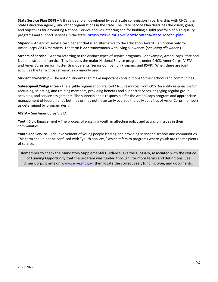**State Service Plan (SSP) –** A three-year plan developed by each state commission in partnership with CNCS, the State Education Agency, and other organizations in the state. The State Service Plan describes the vision, goals, and objectives for promoting National Service and volunteering and for building a solid portfolio of high-quality programs and support services in the state.<https://serve.mt.gov/ServeMontana/state-service-plan>

**Stipend –** An end of service cash benefit that is an alternative to the Education Award – an option only for AmeriCorps VISTA members. The term is *not* synonymous with living allowance. (*See living allowance.*)

**Stream of Service –** A term referring to the distinct types of service programs. For example, AmeriCorps State and National stream of service. This includes the major National Service programs under CNCS, AmeriCorps, VISTA, and AmeriCorps Senior (Foster Grandparents, Senior Companion Program, and RSVP). When there are joint activities the term 'cross stream' is commonly used.

**Student Ownership –** The notion students can make important contributions to their schools and communities.

**Subrecipient/Subgrantee -** The eligible organization granted CNCS resources from OCS. An entity responsible for recruiting, selecting, and training members, providing benefits and support services, engaging regular group activities, and service assignments. The subrecipient is responsible for the AmeriCorps program and appropriate management of federal funds but may or may not necessarily oversee the daily activities of AmeriCorps members, as determined by program design.

**VISTA –** See AmeriCorps VISTA.

**Youth Civic Engagement –** The process of engaging youth in affecting policy and acting on issues in their communities.

**Youth-Led Service –** The involvement of young people leading and providing service to schools and communities. This term should not be confused with "youth services," which refers to programs where youth are the recipients of service.

Remember to check the Mandatory Supplemental Guidance, aka the Glossary, associated with the Notice of Funding Opportunity that the program was funded through, for more terms and definitions. See AmeriCorps grants on [www.serve.mt.gov,](http://www.serve.mt.gov/) then locate the correct year, funding type, and documents.